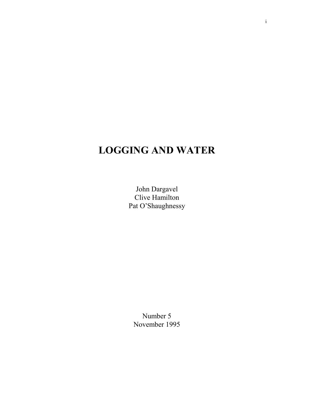# **LOGGING AND WATER**

John Dargavel Clive Hamilton Pat O'Shaughnessy

Number 5 November 1995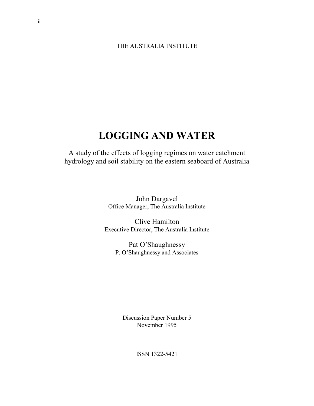### THE AUSTRALIA INSTITUTE

# **LOGGING AND WATER**

A study of the effects of logging regimes on water catchment hydrology and soil stability on the eastern seaboard of Australia

> John Dargavel Office Manager, The Australia Institute

Clive Hamilton Executive Director, The Australia Institute

> Pat O'Shaughnessy P. O'Shaughnessy and Associates

Discussion Paper Number 5 November 1995

ISSN 1322-5421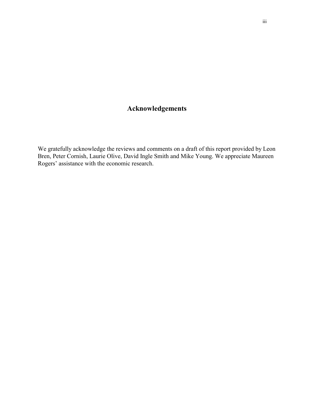# **Acknowledgements**

We gratefully acknowledge the reviews and comments on a draft of this report provided by Leon Bren, Peter Cornish, Laurie Olive, David Ingle Smith and Mike Young. We appreciate Maureen Rogers' assistance with the economic research.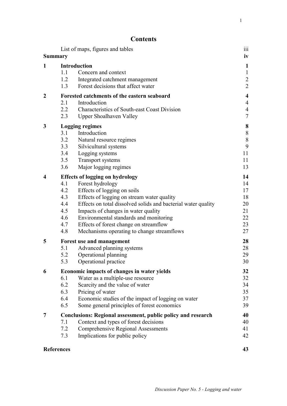1

# **Contents**

|                         | <b>Summary</b>    | List of maps, figures and tables                              | $\overline{\text{iii}}$<br>iv |
|-------------------------|-------------------|---------------------------------------------------------------|-------------------------------|
|                         |                   |                                                               |                               |
| $\mathbf{1}$            | 1.1               | <b>Introduction</b><br>Concern and context                    | $\mathbf{1}$<br>$\mathbf{1}$  |
|                         | 1.2               | Integrated catchment management                               | $\overline{2}$                |
|                         | 1.3               | Forest decisions that affect water                            | $\overline{2}$                |
| $\boldsymbol{2}$        |                   | Forested catchments of the eastern seaboard                   | $\overline{\mathbf{4}}$       |
|                         | 2.1               | Introduction                                                  | $\overline{4}$                |
|                         | 2.2               | Characteristics of South-east Coast Division                  | $\overline{4}$                |
|                         | 2.3               | <b>Upper Shoalhaven Valley</b>                                | $\boldsymbol{7}$              |
| 3                       |                   | <b>Logging regimes</b>                                        | $\bf{8}$                      |
|                         | 3.1               | Introduction                                                  | $\,8\,$                       |
|                         | 3.2               | Natural resource regimes                                      | $\,8\,$                       |
|                         | 3.3               | Silvicultural systems                                         | 9                             |
|                         | 3.4               | Logging systems                                               | 11                            |
|                         | 3.5               | Transport systems                                             | 11                            |
|                         | 3.6               | Major logging regimes                                         | 13                            |
| $\overline{\mathbf{4}}$ |                   | <b>Effects of logging on hydrology</b>                        | 14                            |
|                         | 4.1               | Forest hydrology                                              | 14                            |
|                         | 4.2               | Effects of logging on soils                                   | 17                            |
|                         | 4.3               | Effects of logging on stream water quality                    | 18                            |
|                         | 4.4               | Effects on total dissolved solids and bacterial water quality | 20                            |
|                         | 4.5               | Impacts of changes in water quality                           | 21                            |
|                         | 4.6               | Environmental standards and monitoring                        | 22                            |
|                         | 4.7<br>4.8        | Effects of forest change on streamflow                        | 23<br>27                      |
|                         |                   | Mechanisms operating to change streamflows                    |                               |
| 5                       |                   | <b>Forest use and management</b>                              | 28                            |
|                         | 5.1               | Advanced planning systems                                     | 28                            |
|                         | 5.2               | Operational planning                                          | 29                            |
|                         | 5.3               | Operational practice                                          | 30                            |
| 6                       |                   | Economic impacts of changes in water yields                   | 32                            |
|                         | 6.1               | Water as a multiple-use resource                              | 32                            |
|                         | 6.2<br>6.3        | Scarcity and the value of water<br>Pricing of water           | 34<br>35                      |
|                         | 6.4               | Economic studies of the impact of logging on water            | 37                            |
|                         | 6.5               | Some general principles of forest economics                   | 39                            |
| $\overline{7}$          |                   | Conclusions: Regional assessment, public policy and research  | 40                            |
|                         | 7.1               | Context and types of forest decisions                         | 40                            |
|                         | 7.2               | <b>Comprehensive Regional Assessments</b>                     | 41                            |
|                         | 7.3               | Implications for public policy                                | 42                            |
|                         |                   |                                                               | 43                            |
|                         | <b>References</b> |                                                               |                               |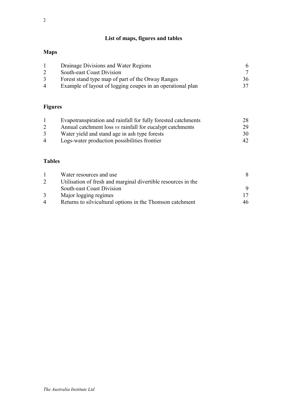# **Maps**

|   | Drainage Divisions and Water Regions                       | 6  |
|---|------------------------------------------------------------|----|
|   | <b>South-east Coast Division</b>                           |    |
|   | Forest stand type map of part of the Otway Ranges          | 36 |
| 4 | Example of layout of logging coupes in an operational plan | 37 |

# **Figures**

|                | Evapotranspiration and rainfall for fully forested catchments | 28  |
|----------------|---------------------------------------------------------------|-----|
|                | Annual catchment loss vs rainfall for eucalypt catchments     | 29. |
| 3              | Water yield and stand age in ash type forests                 | 30  |
| $\overline{4}$ | Logs-water production possibilities frontier                  | 42. |

# **Tables**

|                | Water resources and use                                       | 8  |
|----------------|---------------------------------------------------------------|----|
|                | Utilisation of fresh and marginal divertible resources in the |    |
|                | South-east Coast Division                                     |    |
| 3              | Major logging regimes                                         |    |
| $\overline{4}$ | Returns to silvicultural options in the Thomson catchment     | 46 |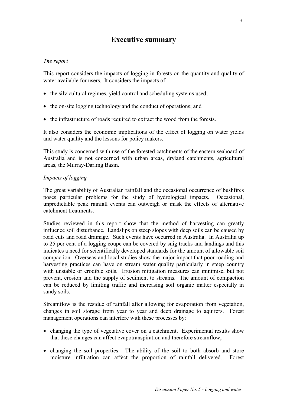# **Executive summary**

# *The report*

This report considers the impacts of logging in forests on the quantity and quality of water available for users. It considers the impacts of:

- the silvicultural regimes, yield control and scheduling systems used;
- the on-site logging technology and the conduct of operations; and
- the infrastructure of roads required to extract the wood from the forests.

It also considers the economic implications of the effect of logging on water yields and water quality and the lessons for policy makers.

This study is concerned with use of the forested catchments of the eastern seaboard of Australia and is not concerned with urban areas, dryland catchments, agricultural areas, the Murray-Darling Basin.

# *Impacts of logging*

The great variability of Australian rainfall and the occasional occurrence of bushfires poses particular problems for the study of hydrological impacts. Occasional, unpredictable peak rainfall events can outweigh or mask the effects of alternative catchment treatments.

Studies reviewed in this report show that the method of harvesting can greatly influence soil disturbance. Landslips on steep slopes with deep soils can be caused by road cuts and road drainage. Such events have occurred in Australia. In Australia up to 25 per cent of a logging coupe can be covered by snig tracks and landings and this indicates a need for scientifically developed standards for the amount of allowable soil compaction. Overseas and local studies show the major impact that poor roading and harvesting practices can have on stream water quality particularly in steep country with unstable or erodible soils. Erosion mitigation measures can minimise, but not prevent, erosion and the supply of sediment to streams. The amount of compaction can be reduced by limiting traffic and increasing soil organic matter especially in sandy soils.

Streamflow is the residue of rainfall after allowing for evaporation from vegetation, changes in soil storage from year to year and deep drainage to aquifers. Forest management operations can interfere with these processes by:

- changing the type of vegetative cover on a catchment. Experimental results show that these changes can affect evapotranspiration and therefore streamflow;
- changing the soil properties. The ability of the soil to both absorb and store moisture infiltration can affect the proportion of rainfall delivered. Forest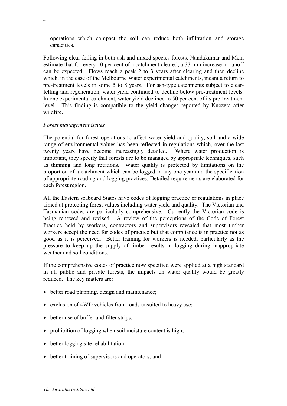operations which compact the soil can reduce both infiltration and storage capacities.

Following clear felling in both ash and mixed species forests, Nandakumar and Mein estimate that for every 10 per cent of a catchment cleared, a 33 mm increase in runoff can be expected. Flows reach a peak 2 to 3 years after clearing and then decline which, in the case of the Melbourne Water experimental catchments, meant a return to pre-treatment levels in some 5 to 8 years. For ash-type catchments subject to clearfelling and regeneration, water yield continued to decline below pre-treatment levels. In one experimental catchment, water yield declined to 50 per cent of its pre-treatment level. This finding is compatible to the yield changes reported by Kuczera after wildfire.

#### *Forest management issues*

The potential for forest operations to affect water yield and quality, soil and a wide range of environmental values has been reflected in regulations which, over the last twenty years have become increasingly detailed. Where water production is important, they specify that forests are to be managed by appropriate techniques, such as thinning and long rotations. Water quality is protected by limitations on the proportion of a catchment which can be logged in any one year and the specification of appropriate roading and logging practices. Detailed requirements are elaborated for each forest region.

All the Eastern seaboard States have codes of logging practice or regulations in place aimed at protecting forest values including water yield and quality. The Victorian and Tasmanian codes are particularly comprehensive. Currently the Victorian code is being renewed and revised. A review of the perceptions of the Code of Forest Practice held by workers, contractors and supervisors revealed that most timber workers accept the need for codes of practice but that compliance is in practice not as good as it is perceived. Better training for workers is needed, particularly as the pressure to keep up the supply of timber results in logging during inappropriate weather and soil conditions.

If the comprehensive codes of practice now specified were applied at a high standard in all public and private forests, the impacts on water quality would be greatly reduced. The key matters are:

- better road planning, design and maintenance;
- exclusion of 4WD vehicles from roads unsuited to heavy use;
- better use of buffer and filter strips;
- prohibition of logging when soil moisture content is high;
- better logging site rehabilitation;
- better training of supervisors and operators; and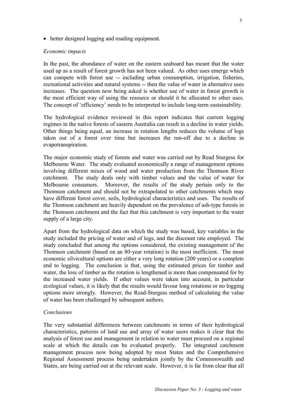• better designed logging and roading equipment.

#### *Economic impacts*

In the past, the abundance of water on the eastern seaboard has meant that the water used up as a result of forest growth has not been valued. As other uses emerge which can compete with forest use -- including urban consumption, irrigation, fisheries, recreational activities and natural systems -- then the value of water in alternative uses increases. The question now being asked is whether use of water in forest growth is the most efficient way of using the resource or should it be allocated to other uses. The concept of 'efficiency' needs to be interpreted to include long-term sustainability.

The hydrological evidence reviewed in this report indicates that current logging regimes in the native forests of eastern Australia can result in a decline in water yields. Other things being equal, an increase in rotation lengths reduces the volume of logs taken out of a forest over time but increases the run-off due to a decline in evapotranspiration.

The major economic study of forests and water was carried out by Read Sturgess for Melbourne Water. The study evaluated economically a range of management options involving different mixes of wood and water production from the Thomson River catchment. The study deals only with timber values and the value of water for Melbourne consumers. Moreover, the results of the study pertain only to the Thomson catchment and should not be extrapolated to other catchments which may have different forest cover, soils, hydrological characteristics and uses. The results of the Thomson catchment are heavily dependent on the prevalence of ash-type forests in the Thomson catchment and the fact that this catchment is very important to the water supply of a large city.

Apart from the hydrological data on which the study was based, key variables in the study included the pricing of water and of logs, and the discount rate employed. The study concluded that among the options considered, the existing management of the Thomson catchment (based on an 80-year rotation) is the most inefficient. The most economic silvicultural options are either a very long rotation (200 years) or a complete end to logging. The conclusion is that, using the estimated prices for timber and water, the loss of timber as the rotation is lengthened is more than compensated for by the increased water yields. If other values were taken into account, in particular ecological values, it is likely that the results would favour long rotations or no logging options more strongly. However, the Read-Sturgess method of calculating the value of water has been challenged by subsequent authors.

#### *Conclusions*

The very substantial differences between catchments in terms of their hydrological characteristics, patterns of land use and array of water users makes it clear that the analysis of forest use and management in relation to water must proceed on a regional scale at which the details can be evaluated properly. The integrated catchment management process now being adopted by most States and the Comprehensive Regional Assessment process being undertaken jointly by the Commonwealth and States, are being carried out at the relevant scale. However, it is far from clear that all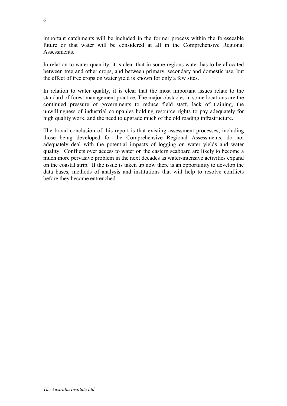important catchments will be included in the former process within the foreseeable future or that water will be considered at all in the Comprehensive Regional **Assessments** 

In relation to water quantity, it is clear that in some regions water has to be allocated between tree and other crops, and between primary, secondary and domestic use, but the effect of tree crops on water yield is known for only a few sites.

In relation to water quality, it is clear that the most important issues relate to the standard of forest management practice. The major obstacles in some locations are the continued pressure of governments to reduce field staff, lack of training, the unwillingness of industrial companies holding resource rights to pay adequately for high quality work, and the need to upgrade much of the old roading infrastructure.

The broad conclusion of this report is that existing assessment processes, including those being developed for the Comprehensive Regional Assessments, do not adequately deal with the potential impacts of logging on water yields and water quality. Conflicts over access to water on the eastern seaboard are likely to become a much more pervasive problem in the next decades as water-intensive activities expand on the coastal strip. If the issue is taken up now there is an opportunity to develop the data bases, methods of analysis and institutions that will help to resolve conflicts before they become entrenched.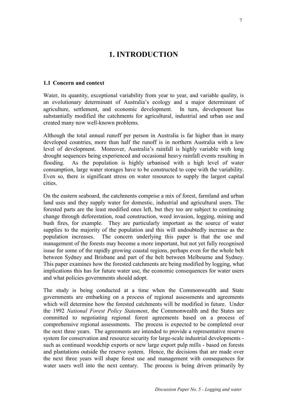# **1. INTRODUCTION**

#### **1.1 Concern and context**

Water, its quantity, exceptional variability from year to year, and variable quality, is an evolutionary determinant of Australia's ecology and a major determinant of agriculture, settlement, and economic development. In turn, development has substantially modified the catchments for agricultural, industrial and urban use and created many now well-known problems.

Although the total annual runoff per person in Australia is far higher than in many developed countries, more than half the runoff is in northern Australia with a low level of development. Moreover, Australia's rainfall is highly variable with long drought sequences being experienced and occasional heavy rainfall events resulting in flooding. As the population is highly urbanised with a high level of water consumption, large water storages have to be constructed to cope with the variability. Even so, there is significant stress on water resources to supply the largest capital cities.

On the eastern seaboard, the catchments comprise a mix of forest, farmland and urban land uses and they supply water for domestic, industrial and agricultural users. The forested parts are the least modified ones left, but they too are subject to continuing change through deforestation, road construction, weed invasion, logging, mining and bush fires, for example. They are particularly important as the source of water supplies to the majority of the population and this will undoubtedly increase as the population increases. The concern underlying this paper is that the use and management of the forests may become a more important, but not yet fully recognised issue for some of the rapidly growing coastal regions, perhaps even for the whole belt between Sydney and Brisbane and part of the belt between Melbourne and Sydney. This paper examines how the forested catchments are being modified by logging, what implications this has for future water use, the economic consequences for water users and what policies governments should adopt.

The study is being conducted at a time when the Commonwealth and State governments are embarking on a process of regional assessments and agreements which will determine how the forested catchments will be modified in future. Under the 1992 *National Forest Policy Statement*, the Commonwealth and the States are committed to negotiating regional forest agreements based on a process of comprehensive regional assessments. The process is expected to be completed over the next three years. The agreements are intended to provide a representative reserve system for conservation and resource security for large-scale industrial developments such as continued woodchip exports or new large export pulp mills - based on forests and plantations outside the reserve system. Hence, the decisions that are made over the next three years will shape forest use and management with consequences for water users well into the next century. The process is being driven primarily by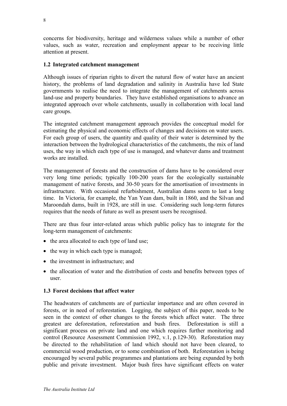concerns for biodiversity, heritage and wilderness values while a number of other values, such as water, recreation and employment appear to be receiving little attention at present.

### **1.2 Integrated catchment management**

Although issues of riparian rights to divert the natural flow of water have an ancient history, the problems of land degradation and salinity in Australia have led State governments to realise the need to integrate the management of catchments across land-use and property boundaries. They have established organisations to advance an integrated approach over whole catchments, usually in collaboration with local land care groups.

The integrated catchment management approach provides the conceptual model for estimating the physical and economic effects of changes and decisions on water users. For each group of users, the quantity and quality of their water is determined by the interaction between the hydrological characteristics of the catchments, the mix of land uses, the way in which each type of use is managed, and whatever dams and treatment works are installed.

The management of forests and the construction of dams have to be considered over very long time periods; typically 100-200 years for the ecologically sustainable management of native forests, and 30-50 years for the amortisation of investments in infrastructure. With occasional refurbishment, Australian dams seem to last a long time. In Victoria, for example, the Yan Yean dam, built in 1860, and the Silvan and Maroondah dams, built in 1928, are still in use. Considering such long-term futures requires that the needs of future as well as present users be recognised.

There are thus four inter-related areas which public policy has to integrate for the long-term management of catchments:

- the area allocated to each type of land use;
- the way in which each type is managed;
- the investment in infrastructure; and
- the allocation of water and the distribution of costs and benefits between types of user.

#### **1.3 Forest decisions that affect water**

The headwaters of catchments are of particular importance and are often covered in forests, or in need of reforestation. Logging, the subject of this paper, needs to be seen in the context of other changes to the forests which affect water. The three greatest are deforestation, reforestation and bush fires. Deforestation is still a significant process on private land and one which requires further monitoring and control (Resource Assessment Commission 1992, v.1, p.129-30). Reforestation may be directed to the rehabilitation of land which should not have been cleared, to commercial wood production, or to some combination of both. Reforestation is being encouraged by several public programmes and plantations are being expanded by both public and private investment. Major bush fires have significant effects on water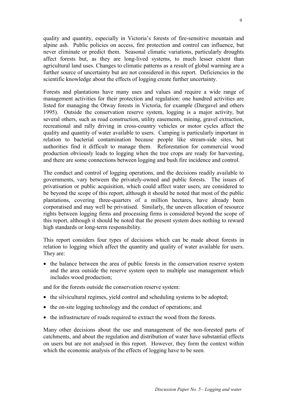quality and quantity, especially in Victoria's forests of fire-sensitive mountain and alpine ash. Public policies on access, fire protection and control can influence, but never eliminate or predict them. Seasonal climatic variations, particularly droughts affect forests but, as they are long-lived systems, to much lesser extent than agricultural land uses. Changes to climatic patterns as a result of global warming are a further source of uncertainty but are not considered in this report. Deficiencies in the scientific knowledge about the effects of logging create further uncertainty.

Forests and plantations have many uses and values and require a wide range of management activities for their protection and regulation: one hundred activities are listed for managing the Otway forests in Victoria, for example (Dargavel and others 1995). Outside the conservation reserve system, logging is a major activity, but several others, such as road construction, utility easements, mining, gravel extraction, recreational and rally driving in cross-country vehicles or motor cycles affect the quality and quantity of water available to users. Camping is particularly important in relation to bacterial contamination because people like stream-side sites, but authorities find it difficult to manage them. Reforestation for commercial wood production obviously leads to logging when the tree crops are ready for harvesting, and there are some connections between logging and bush fire incidence and control.

The conduct and control of logging operations, and the decisions readily available to governments, vary between the privately-owned and public forests. The issues of privatisation or public acquisition, which could affect water users, are considered to be beyond the scope of this report, although it should be noted that most of the public plantations, covering three-quarters of a million hectares, have already been corporatised and may well be privatised. Similarly, the uneven allocation of resource rights between logging firms and processing firms is considered beyond the scope of this report, although it should be noted that the present system does nothing to reward high standards or long-term responsibility.

This report considers four types of decisions which can be made about forests in relation to logging which affect the quantity and quality of water available for users. They are:

• the balance between the area of public forests in the conservation reserve system and the area outside the reserve system open to multiple use management which includes wood production;

and for the forests outside the conservation reserve system:

- the silvicultural regimes, yield control and scheduling systems to be adopted;
- the on-site logging technology and the conduct of operations; and
- the infrastructure of roads required to extract the wood from the forests.

Many other decisions about the use and management of the non-forested parts of catchments, and about the regulation and distribution of water have substantial effects on users but are not analysed in this report. However, they form the context within which the economic analysis of the effects of logging have to be seen.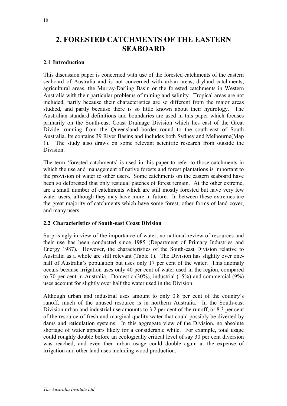# **2. FORESTED CATCHMENTS OF THE EASTERN SEABOARD**

# **2.1 Introduction**

This discussion paper is concerned with use of the forested catchments of the eastern seaboard of Australia and is not concerned with urban areas, dryland catchments, agricultural areas, the Murray-Darling Basin or the forested catchments in Western Australia with their particular problems of mining and salinity. Tropical areas are not included, partly because their characteristics are so different from the major areas studied, and partly because there is so little known about their hydrology. The Australian standard definitions and boundaries are used in this paper which focuses primarily on the South-east Coast Drainage Division which lies east of the Great Divide, running from the Queensland border round to the south-east of South Australia. Its contains 39 River Basins and includes both Sydney and Melbourne(Map 1). The study also draws on some relevant scientific research from outside the Division.

The term 'forested catchments' is used in this paper to refer to those catchments in which the use and management of native forests and forest plantations is important to the provision of water to other users. Some catchments on the eastern seaboard have been so deforested that only residual patches of forest remain. At the other extreme, are a small number of catchments which are still mostly forested but have very few water users, although they may have more in future. In between these extremes are the great majority of catchments which have some forest, other forms of land cover, and many users.

#### **2.2 Characteristics of South-east Coast Division**

Surprisingly in view of the importance of water, no national review of resources and their use has been conducted since 1985 (Department of Primary Industries and Energy 1987). However, the characteristics of the South-east Division relative to Australia as a whole are still relevant (Table 1). The Division has slightly over onehalf of Australia's population but uses only 17 per cent of the water. This anomaly occurs because irrigation uses only 40 per cent of water used in the region, compared to 70 per cent in Australia. Domestic (30%), industrial (15%) and commercial (9%) uses account for slightly over half the water used in the Division.

Although urban and industrial uses amount to only 0.8 per cent of the country's runoff, much of the unused resource is in northern Australia. In the South-east Division urban and industrial use amounts to 3.2 per cent of the runoff, or 8.3 per cent of the resource of fresh and marginal quality water that could possibly be diverted by dams and reticulation systems. In this aggregate view of the Division, no absolute shortage of water appears likely for a considerable while. For example, total usage could roughly double before an ecologically critical level of say 30 per cent diversion was reached, and even then urban usage could double again at the expense of irrigation and other land uses including wood production.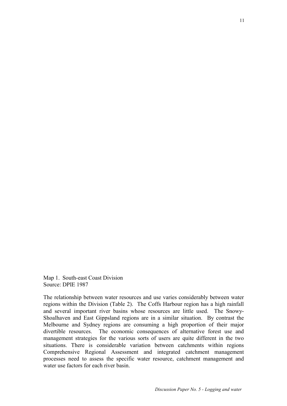Map 1. South-east Coast Division Source: DPIE 1987

The relationship between water resources and use varies considerably between water regions within the Division (Table 2). The Coffs Harbour region has a high rainfall and several important river basins whose resources are little used. The Snowy-Shoalhaven and East Gippsland regions are in a similar situation. By contrast the Melbourne and Sydney regions are consuming a high proportion of their major divertible resources. The economic consequences of alternative forest use and management strategies for the various sorts of users are quite different in the two situations. There is considerable variation between catchments within regions Comprehensive Regional Assessment and integrated catchment management processes need to assess the specific water resource, catchment management and water use factors for each river basin.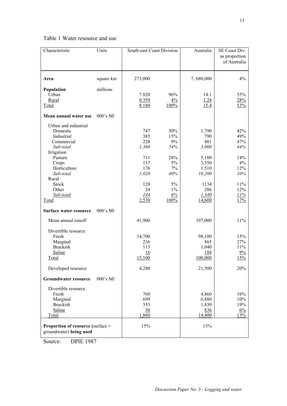# Table 1 Water resource and use

| Characteristic                                                                                                                                                                            | Units       | South-east Coast Division                                                             |                                                                                      | Australia                                                                                           | SE Coast Div.<br>as proportion<br>of Australia                                     |
|-------------------------------------------------------------------------------------------------------------------------------------------------------------------------------------------|-------------|---------------------------------------------------------------------------------------|--------------------------------------------------------------------------------------|-----------------------------------------------------------------------------------------------------|------------------------------------------------------------------------------------|
| Area                                                                                                                                                                                      | square km   | 273,000                                                                               |                                                                                      | 7,680,000                                                                                           | 4%                                                                                 |
| Population<br>Urban<br>Rural<br>Total                                                                                                                                                     | millions    | 7.820<br>0.359<br>8.180                                                               | 96%<br>$4\frac{6}{6}$<br>100%                                                        | 14.1<br>1.28<br>15.4                                                                                | 55%<br>28%<br>53%                                                                  |
| Mean annual water use                                                                                                                                                                     | $000$ 's Ml |                                                                                       |                                                                                      |                                                                                                     |                                                                                    |
| Urban and industrial<br>Domestic<br>Industrial<br>Commercial<br>Sub-total<br>Irrigation<br>Pasture<br>Crops<br>Horticulture<br>Sub-total<br>Rural<br>Stock<br>Other<br>Sub-total<br>Total |             | 747<br>385<br>228<br>1,360<br>711<br>137<br>176<br>1,020<br>120<br>24<br>144<br>2,530 | 30%<br>15%<br>9%<br>54%<br>28%<br>$5\%$<br>$7\%$<br>40%<br>5%<br>$1\%$<br>6%<br>100% | 1,790<br>790<br>481<br>3,060<br>5,180<br>3,550<br>1,510<br>10,200<br>1134<br>206<br>1,340<br>14,600 | 42%<br>49%<br>47%<br>44%<br>14%<br>4%<br>12%<br>10%<br>$11\%$<br>12%<br>11%<br>17% |
| Surface water resource                                                                                                                                                                    | $000$ 's Ml |                                                                                       |                                                                                      |                                                                                                     |                                                                                    |
| Mean annual runoff                                                                                                                                                                        |             | 41,900                                                                                |                                                                                      | 397,000                                                                                             | $11\%$                                                                             |
| Divertible resource<br>Fresh<br>Marginal<br><b>Brackish</b><br>Saline<br><b>Total</b>                                                                                                     |             | 14,700<br>236<br>113<br>16<br>15,100                                                  |                                                                                      | 98,100<br>865<br>1,040<br>188<br>100,000                                                            | 15%<br>27%<br>11%<br>9%<br>15%                                                     |
| Developed resource                                                                                                                                                                        |             | 4,280                                                                                 |                                                                                      | 21,500                                                                                              | 20%                                                                                |
| <b>Groundwater resource</b>                                                                                                                                                               | 000's Ml    |                                                                                       |                                                                                      |                                                                                                     |                                                                                    |
| Divertible resource<br>Fresh<br>Marginal<br><b>Brackish</b><br>Saline<br>Total<br>Proportion of resource (surface +<br>groundwater) being used                                            |             | 760<br>699<br>353<br>50<br>1,860<br>15%                                               |                                                                                      | 4,860<br>6,880<br>1,830<br>836<br>14,400<br>13%                                                     | 16%<br>10%<br>19%<br>$6\%$<br>13%                                                  |

Source: DPIE 1987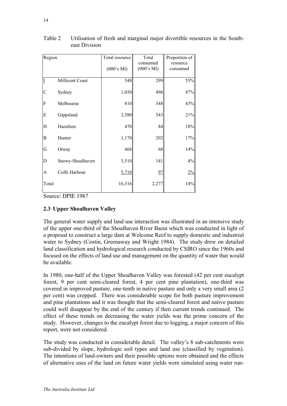| Region       |                  | Total resource | Total                  | Proportion of        |
|--------------|------------------|----------------|------------------------|----------------------|
|              |                  | (000's Ml)     | consumed<br>(000's Ml) | resource<br>consumed |
|              | Millicent Coast  | 548            | 299                    | 55%                  |
| C            | Sydney           | 1,050          | 496                    | 47%                  |
| F            | Melbourne        | 810            | 348                    | 43%                  |
| E            | Gippsland        | 2,580          | 543                    | 21%                  |
| H            | Hamilton         | 470            | 84                     | $18\%$               |
| $\, {\bf B}$ | Hunter           | 1,170          | 202                    | 17%                  |
| G            | Otway            | 468            | 68                     | 14%                  |
| D            | Snowy-Shoalhaven | 3,510          | 141                    | $4\%$                |
| A            | Coffs Harbour    | 5,710          | 97                     | $2\frac{9}{6}$       |
| Total        |                  | 16,316         | 2,277                  | 14%                  |

Table 2 Utilisation of fresh and marginal major divertible resources in the Southeast Division

Source: DPIE 1987

# **2.3 Upper Shoalhaven Valley**

The general water supply and land use interaction was illustrated in an intensive study of the upper one-third of the Shoalhaven River Basin which was conducted in light of a proposal to construct a large dam at Welcome Reef to supply domestic and industrial water to Sydney (Costin, Greenaway and Wright 1984). The study drew on detailed land classification and hydrological research conducted by CSIRO since the 1960s and focused on the effects of land use and management on the quantity of water that would be available.

In 1980, one-half of the Upper Shoalhaven Valley was forested (42 per cent eucalypt forest, 9 per cent semi-cleared forest, 4 per cent pine plantation), one-third was covered in improved pasture, one-tenth in native pasture and only a very small area (2 per cent) was cropped. There was considerable scope for both pasture improvement and pine plantations and it was thought that the semi-cleared forest and native pasture could well disappear by the end of the century if then current trends continued. The effect of these trends on decreasing the water yields was the prime concern of the study. However, changes to the eucalypt forest due to logging, a major concern of this report, were not considered.

The study was conducted in considerable detail. The valley's 8 sub-catchments were sub-divided by slope, hydrologic soil types and land use (classified by vegetation). The intentions of land-owners and their possible options were obtained and the effects of alternative uses of the land on future water yields were simulated using water run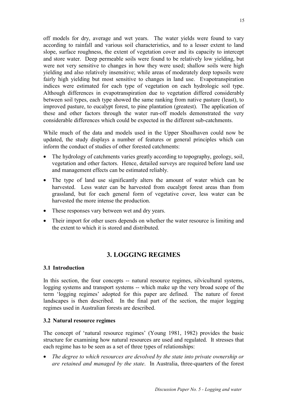off models for dry, average and wet years. The water yields were found to vary according to rainfall and various soil characteristics, and to a lesser extent to land slope, surface roughness, the extent of vegetation cover and its capacity to intercept and store water. Deep permeable soils were found to be relatively low yielding, but were not very sensitive to changes in how they were used; shallow soils were high yielding and also relatively insensitive; while areas of moderately deep topsoils were fairly high yielding but most sensitive to changes in land use. Evapotranspiration indices were estimated for each type of vegetation on each hydrologic soil type. Although differences in evapotranspiration due to vegetation differed considerably between soil types, each type showed the same ranking from native pasture (least), to improved pasture, to eucalypt forest, to pine plantation (greatest). The application of these and other factors through the water run-off models demonstrated the very considerable differences which could be expected in the different sub-catchments.

While much of the data and models used in the Upper Shoalhaven could now be updated, the study displays a number of features or general principles which can inform the conduct of studies of other forested catchments:

- The hydrology of catchments varies greatly according to topography, geology, soil, vegetation and other factors. Hence, detailed surveys are required before land use and management effects can be estimated reliably.
- The type of land use significantly alters the amount of water which can be harvested. Less water can be harvested from eucalypt forest areas than from grassland, but for each general form of vegetative cover, less water can be harvested the more intense the production.
- These responses vary between wet and dry years.
- Their import for other users depends on whether the water resource is limiting and the extent to which it is stored and distributed.

# **3. LOGGING REGIMES**

#### **3.1 Introduction**

In this section, the four concepts -- natural resource regimes, silvicultural systems, logging systems and transport systems -- which make up the very broad scope of the term 'logging regimes' adopted for this paper are defined. The nature of forest landscapes is then described. In the final part of the section, the major logging regimes used in Australian forests are described.

#### **3.2 Natural resource regimes**

The concept of 'natural resource regimes' (Young 1981, 1982) provides the basic structure for examining how natural resources are used and regulated. It stresses that each regime has to be seen as a set of three types of relationships:

• *The degree to which resources are devolved by the state into private ownership or are retained and managed by the state*. In Australia, three-quarters of the forest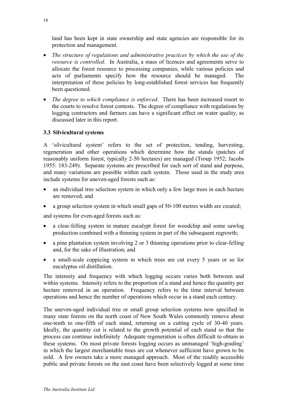land has been kept in state ownership and state agencies are responsible for its protection and management.

- *The structure of regulations and administrative practices by which the use of the resource is controlled*. In Australia, a mass of licences and agreements serve to allocate the forest resource to processing companies, while various policies and acts of parliaments specify how the resource should be managed. The interpretation of these policies by long-established forest services has frequently been questioned.
- *The degree to which compliance is enforced*. There has been increased resort to the courts to resolve forest contests. The degree of compliance with regulations by logging contractors and farmers can have a significant effect on water quality, as discussed later in this report.

# **3.3 Silvicultural systems**

A 'silvicultural system' refers to the set of protection, tending, harvesting, regeneration and other operations which determine how the stands (patches of reasonably uniform forest, typically 2-50 hectares) are managed (Troup 1952; Jacobs 1955: 183-249). Separate systems are prescribed for each sort of stand and purpose, and many variations are possible within each system. Those used in the study area include systems for uneven-aged forests such as:

- an individual tree selection system in which only a few large trees in each hectare are removed; and
- a group selection system in which small gaps of 50-100 metres width are created;

and systems for even-aged forests such as:

- a clear-felling system in mature eucalypt forest for woodchip and some sawlog production combined with a thinning system in part of the subsequent regrowth;
- a pine plantation system involving 2 or 3 thinning operations prior to clear-felling and, for the sake of illustration; and
- a small-scale coppicing system in which trees are cut every 5 years or so for eucalyptus oil distillation.

The intensity and frequency with which logging occurs varies both between and within systems. Intensity refers to the proportion of a stand and hence the quantity per hectare removed in an operation. Frequency refers to the time interval between operations and hence the number of operations which occur in a stand each century.

The uneven-aged individual tree or small group selection systems now specified in many state forests on the north coast of New South Wales commonly remove about one-tenth to one-fifth of each stand, returning on a cutting cycle of 30-40 years. Ideally, the quantity cut is related to the growth potential of each stand so that the process can continue indefinitely Adequate regeneration is often difficult to obtain in these systems. On most private forests logging occurs as unmanaged 'high-grading' in which the largest merchantable trees are cut whenever sufficient have grown to be sold. A few owners take a more managed approach. Most of the readily accessible public and private forests on the east coast have been selectively logged at some time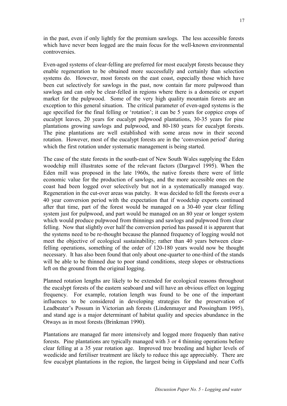in the past, even if only lightly for the premium sawlogs. The less accessible forests which have never been logged are the main focus for the well-known environmental controversies.

Even-aged systems of clear-felling are preferred for most eucalypt forests because they enable regeneration to be obtained more successfully and certainly than selection systems do. However, most forests on the east coast, especially those which have been cut selectively for sawlogs in the past, now contain far more pulpwood than sawlogs and can only be clear-felled in regions where there is a domestic or export market for the pulpwood. Some of the very high quality mountain forests are an exception to this general situation. The critical parameter of even-aged systems is the age specified for the final felling or 'rotation'; it can be 5 years for coppice crops of eucalypt leaves, 20 years for eucalypt pulpwood plantations, 30-35 years for pine plantations growing sawlogs and pulpwood, and 80-180 years for eucalypt forests. The pine plantations are well established with some areas now in their second rotation. However, most of the eucalypt forests are in the 'conversion period' during which the first rotation under systematic management is being started.

The case of the state forests in the south-east of New South Wales supplying the Eden woodchip mill illustrates some of the relevant factors (Dargavel 1995). When the Eden mill was proposed in the late 1960s, the native forests there were of little economic value for the production of sawlogs, and the more accessible ones on the coast had been logged over selectively but not in a systematically managed way. Regeneration in the cut-over areas was patchy. It was decided to fell the forests over a 40 year conversion period with the expectation that if woodchip exports continued after that time, part of the forest would be managed on a 30-40 year clear felling system just for pulpwood, and part would be managed on an 80 year or longer system which would produce pulpwood from thinnings and sawlogs and pulpwood from clear felling. Now that slightly over half the conversion period has passed it is apparent that the systems need to be re-thought because the planned frequency of logging would not meet the objective of ecological sustainability; rather than 40 years between clearfelling operations, something of the order of 120-180 years would now be thought necessary. It has also been found that only about one-quarter to one-third of the stands will be able to be thinned due to poor stand conditions, steep slopes or obstructions left on the ground from the original logging.

Planned rotation lengths are likely to be extended for ecological reasons throughout the eucalypt forests of the eastern seaboard and will have an obvious effect on logging frequency. For example, rotation length was found to be one of the important influences to be considered in developing strategies for the preservation of Leadbeater's Possum in Victorian ash forests (Lindenmayer and Possingham 1995), and stand age is a major determinant of habitat quality and species abundance in the Otways as in most forests (Brinkman 1990).

Plantations are managed far more intensively and logged more frequenly than native forests. Pine plantations are typically managed with 3 or 4 thinning operations before clear felling at a 35 year rotation age. Improved tree breeding and higher levels of weedicide and fertiliser treatment are likely to reduce this age appreciably. There are few eucalypt plantations in the region, the largest being in Gippsland and near Coffs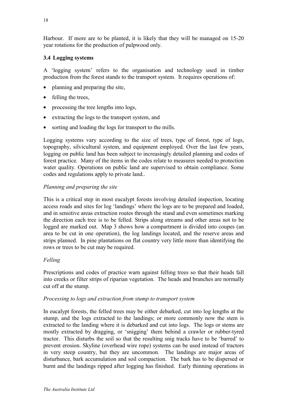Harbour. If more are to be planted, it is likely that they will be managed on 15-20 year rotations for the production of pulpwood only.

# **3.4 Logging systems**

A 'logging system' refers to the organisation and technology used in timber production from the forest stands to the transport system. It requires operations of:

- planning and preparing the site.
- felling the trees,
- processing the tree lengths into logs,
- extracting the logs to the transport system, and
- sorting and loading the logs for transport to the mills.

Logging systems vary according to the size of trees, type of forest, type of logs, topography, silvicultural system, and equipment employed. Over the last few years, logging on public land has been subject to increasingly detailed planning and codes of forest practice. Many of the items in the codes relate to measures needed to protection water quality. Operations on public land are supervised to obtain compliance. Some codes and regulations apply to private land..

# *Planning and preparing the site*

This is a critical step in most eucalypt forests involving detailed inspection, locating access roads and sites for log 'landings' where the logs are to be prepared and loaded, and in sensitive areas extraction routes through the stand and even sometimes marking the direction each tree is to be felled. Strips along streams and other areas not to be logged are marked out. Map 3 shows how a compartment is divided into coupes (an area to be cut in one operation), the log landings located, and the reserve areas and strips planned. In pine plantations on flat country very little more than identifying the rows or trees to be cut may be required.

# *Felling*

Prescriptions and codes of practice warn against felling trees so that their heads fall into creeks or filter strips of riparian vegetation. The heads and branches are normally cut off at the stump.

# *Processing to logs and extraction from stump to transport system*

In eucalypt forests, the felled trees may be either debarked, cut into log lengths at the stump, and the logs extracted to the landings; or more commonly now the stem is extracted to the landing where it is debarked and cut into logs. The logs or stems are mostly extracted by dragging, or 'snigging' them behind a crawler or rubber-tyred tractor. This disturbs the soil so that the resulting snig tracks have to be 'barred' to prevent erosion. Skyline (overhead wire rope) systems can be used instead of tractors in very steep country, but they are uncommon. The landings are major areas of disturbance, bark accumulation and soil compaction. The bark has to be dispersed or burnt and the landings ripped after logging has finished. Early thinning operations in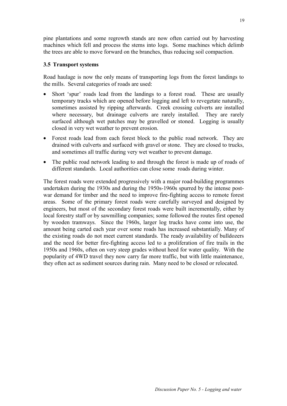pine plantations and some regrowth stands are now often carried out by harvesting machines which fell and process the stems into logs. Some machines which delimb the trees are able to move forward on the branches, thus reducing soil compaction.

### **3.5 Transport systems**

Road haulage is now the only means of transporting logs from the forest landings to the mills. Several categories of roads are used:

- Short 'spur' roads lead from the landings to a forest road. These are usually temporary tracks which are opened before logging and left to revegetate naturally, sometimes assisted by ripping afterwards. Creek crossing culverts are installed where necessary, but drainage culverts are rarely installed. They are rarely surfaced although wet patches may be gravelled or stoned. Logging is usually closed in very wet weather to prevent erosion.
- Forest roads lead from each forest block to the public road network. They are drained with culverts and surfaced with gravel or stone. They are closed to trucks, and sometimes all traffic during very wet weather to prevent damage.
- The public road network leading to and through the forest is made up of roads of different standards. Local authorities can close some roads during winter.

The forest roads were extended progressively with a major road-building programmes undertaken during the 1930s and during the 1950s-1960s spurred by the intense postwar demand for timber and the need to improve fire-fighting access to remote forest areas. Some of the primary forest roads were carefully surveyed and designed by engineers, but most of the secondary forest roads were built incrementally, either by local forestry staff or by sawmilling companies; some followed the routes first opened by wooden tramways. Since the 1960s, larger log trucks have come into use, the amount being carted each year over some roads has increased substantially. Many of the existing roads do not meet current standards. The ready availability of bulldozers and the need for better fire-fighting access led to a proliferation of fire trails in the 1950s and 1960s, often on very steep grades without heed for water quality. With the popularity of 4WD travel they now carry far more traffic, but with little maintenance, they often act as sediment sources during rain. Many need to be closed or relocated.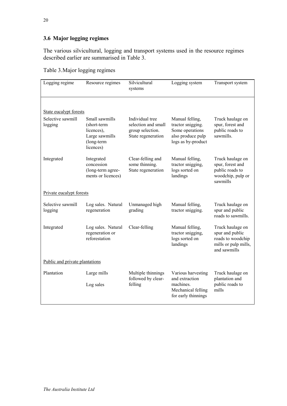# **3.6 Major logging regimes**

The various silvicultural, logging and transport systems used in the resource regimes described earlier are summarised in Table 3.

|  |  | Table 3. Major logging regimes |
|--|--|--------------------------------|
|  |  |                                |

| Logging regime                 | Resource regimes                                                                         | Silvicultural<br>systems                                                         | Logging system                                                                                     | Transport system                                                                                 |  |
|--------------------------------|------------------------------------------------------------------------------------------|----------------------------------------------------------------------------------|----------------------------------------------------------------------------------------------------|--------------------------------------------------------------------------------------------------|--|
|                                |                                                                                          |                                                                                  |                                                                                                    |                                                                                                  |  |
| State eucalypt forests         |                                                                                          |                                                                                  |                                                                                                    |                                                                                                  |  |
| Selective sawmill<br>logging   | Small sawmills<br>(short-term<br>licences),<br>Large sawmills<br>(long-term<br>licences) | Individual tree<br>selection and small<br>group selection.<br>State regeneration | Manual felling,<br>tractor snigging.<br>Some operations<br>also produce pulp<br>logs as by-product | Truck haulage on<br>spur, forest and<br>public roads to<br>sawmills.                             |  |
| Integrated                     | Integrated<br>concession<br>(long-term agree-<br>ments or licences)                      | Clear-felling and<br>some thinning.<br>State regeneration                        | Manual felling,<br>tractor snigging,<br>logs sorted on<br>landings                                 | Truck haulage on<br>spur, forest and<br>public roads to<br>woodchip, pulp or<br>sawmills         |  |
| Private eucalypt forests       |                                                                                          |                                                                                  |                                                                                                    |                                                                                                  |  |
| Selective sawmill<br>logging   | Log sales. Natural<br>regeneration                                                       | Unmanaged high<br>grading                                                        | Manual felling,<br>tractor snigging.                                                               | Truck haulage on<br>spur and public<br>roads to sawmills.                                        |  |
| Integrated                     | Log sales. Natural<br>regeneration or<br>reforestation                                   | Clear-felling                                                                    | Manual felling,<br>tractor snigging,<br>logs sorted on<br>landings                                 | Truck haulage on<br>spur and public<br>roads to woodchip<br>mills or pulp mills,<br>and sawmills |  |
| Public and private plantations |                                                                                          |                                                                                  |                                                                                                    |                                                                                                  |  |
| Plantation                     | Large mills<br>Log sales                                                                 | Multiple thinnings<br>followed by clear-<br>felling                              | Various harvesting<br>and extraction<br>machines.<br>Mechanical felling<br>for early thinnings     | Truck haulage on<br>plantation and<br>public roads to<br>mills                                   |  |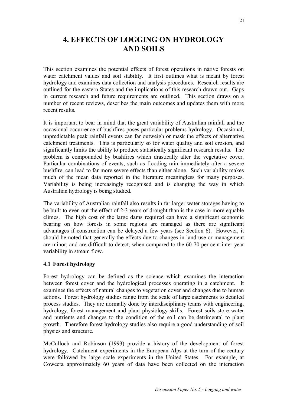# **4. EFFECTS OF LOGGING ON HYDROLOGY AND SOILS**

This section examines the potential effects of forest operations in native forests on water catchment values and soil stability. It first outlines what is meant by forest hydrology and examines data collection and analysis procedures. Research results are outlined for the eastern States and the implications of this research drawn out. Gaps in current research and future requirements are outlined. This section draws on a number of recent reviews, describes the main outcomes and updates them with more recent results.

It is important to bear in mind that the great variability of Australian rainfall and the occasional occurrence of bushfires poses particular problems hydrology. Occasional, unpredictable peak rainfall events can far outweigh or mask the effects of alternative catchment treatments. This is particularly so for water quality and soil erosion, and significantly limits the ability to produce statistically significant research results. The problem is compounded by bushfires which drastically alter the vegetative cover. Particular combinations of events, such as flooding rain immediately after a severe bushfire, can lead to far more severe effects than either alone. Such variability makes much of the mean data reported in the literature meaningless for many purposes. Variability is being increasingly recognised and is changing the way in which Australian hydrology is being studied.

The variability of Australian rainfall also results in far larger water storages having to be built to even out the effect of 2-3 years of drought than is the case in more equable climes. The high cost of the large dams required can have a significant economic bearing on how forests in some regions are managed as there are significant advantages if construction can be delayed a few years (see Section 6). However, it should be noted that generally the effects due to changes in land use or management are minor, and are difficult to detect, when compared to the 60-70 per cent inter-year variability in stream flow.

#### **4.1 Forest hydrology**

Forest hydrology can be defined as the science which examines the interaction between forest cover and the hydrological processes operating in a catchment. It examines the effects of natural changes to vegetation cover and changes due to human actions. Forest hydrology studies range from the scale of large catchments to detailed process studies. They are normally done by interdisciplinary teams with engineering, hydrology, forest management and plant physiology skills. Forest soils store water and nutrients and changes to the condition of the soil can be detrimental to plant growth. Therefore forest hydrology studies also require a good understanding of soil physics and structure.

McCulloch and Robinson (1993) provide a history of the development of forest hydrology. Catchment experiments in the European Alps at the turn of the century were followed by large scale experiments in the United States. For example, at Coweeta approximately 60 years of data have been collected on the interaction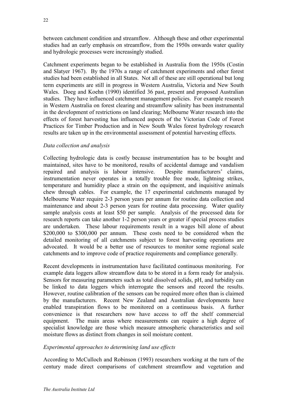between catchment condition and streamflow. Although these and other experimental studies had an early emphasis on streamflow, from the 1950s onwards water quality and hydrologic processes were increasingly studied.

Catchment experiments began to be established in Australia from the 1950s (Costin and Slatyer 1967). By the 1970s a range of catchment experiments and other forest studies had been established in all States. Not all of these are still operational but long term experiments are still in progress in Western Australia, Victoria and New South Wales. Doeg and Koehn (1990) identified 36 past, present and proposed Australian studies. They have influenced catchment management policies. For example research in Western Australia on forest clearing and streamflow salinity has been instrumental in the development of restrictions on land clearing; Melbourne Water research into the effects of forest harvesting has influenced aspects of the Victorian Code of Forest Practices for Timber Production and in New South Wales forest hydrology research results are taken up in the environmental assessment of potential harvesting effects.

### *Data collection and analysis*

Collecting hydrologic data is costly because instrumentation has to be bought and maintained, sites have to be monitored, results of accidental damage and vandalism repaired and analysis is labour intensive. Despite manufacturers' claims, instrumentation never operates in a totally trouble free mode, lightning strikes, temperature and humidity place a strain on the equipment, and inquisitive animals chew through cables. For example, the 17 experimental catchments managed by Melbourne Water require 2-3 person years per annum for routine data collection and maintenance and about 2-3 person years for routine data processing. Water quality sample analysis costs at least \$50 per sample. Analysis of the processed data for research reports can take another 1-2 person years or greater if special process studies are undertaken. These labour requirements result in a wages bill alone of about \$200,000 to \$300,000 per annum. These costs need to be considered when the detailed monitoring of all catchments subject to forest harvesting operations are advocated. It would be a better use of resources to monitor some regional scale catchments and to improve code of practice requirements and compliance generally.

Recent developments in instrumentation have facilitated continuous monitoring. For example data loggers allow streamflow data to be stored in a form ready for analysis. Sensors for measuring parameters such as total dissolved solids, pH, and turbidity can be linked to data loggers which interrogate the sensors and record the results. However, routine calibration of the sensors can be required more often than is claimed by the manufacturers. Recent New Zealand and Australian developments have enabled transpiration flows to be monitored on a continuous basis. A further convenience is that researchers now have access to off the shelf commercial equipment. The main areas where measurements can require a high degree of specialist knowledge are those which measure atmospheric characteristics and soil moisture flows as distinct from changes in soil moisture content.

# *Experimental approaches to determining land use effects*

According to McCulloch and Robinson (1993) researchers working at the turn of the century made direct comparisons of catchment streamflow and vegetation and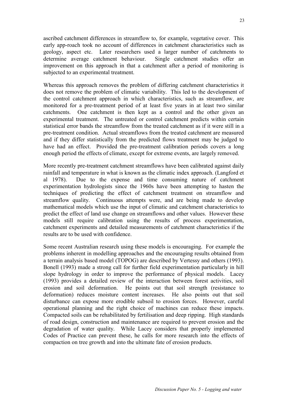ascribed catchment differences in streamflow to, for example, vegetative cover. This early app-roach took no account of differences in catchment characteristics such as geology, aspect etc. Later researchers used a larger number of catchments to determine average catchment behaviour. Single catchment studies offer an improvement on this approach in that a catchment after a period of monitoring is subjected to an experimental treatment.

Whereas this approach removes the problem of differing catchment characteristics it does not remove the problem of climatic variability. This led to the development of the control catchment approach in which characteristics, such as streamflow, are monitored for a pre-treatment period of at least five years in at least two similar catchments. One catchment is then kept as a control and the other given an experimental treatment. The untreated or control catchment predicts within certain statistical error bands the streamflow from the treated catchment as if it were still in a pre-treatment condition. Actual streamflows from the treated catchment are measured and if they differ statistically from the predicted flows treatment may be judged to have had an effect. Provided the pre-treatment calibration periods covers a long enough period the effects of climate, except for extreme events, are largely removed.

More recently pre-treatment catchment streamflows have been calibrated against daily rainfall and temperature in what is known as the climatic index approach. (Langford et al 1978). Due to the expense and time consuming nature of catchment experimentation hydrologists since the 1960s have been attempting to hasten the techniques of predicting the effect of catchment treatment on streamflow and streamflow quality. Continuous attempts were, and are being made to develop mathematical models which use the input of climatic and catchment characteristics to predict the effect of land use change on streamflows and other values. However these models still require calibration using the results of process experimentation, catchment experiments and detailed measurements of catchment characteristics if the results are to be used with confidence.

Some recent Australian research using these models is encouraging. For example the problems inherent in modelling approaches and the encouraging results obtained from a terrain analysis based model (TOPOG) are described by Vertessy and others (1993). Bonell (1993) made a strong call for further field experimentation particularly in hill slope hydrology in order to improve the performance of physical models. Lacey (1993) provides a detailed review of the interaction between forest activities, soil erosion and soil deformation. He points out that soil strength (resistance to deformation) reduces moisture content increases. He also points out that soil disturbance can expose more erodible subsoil to erosion forces. However, careful operational planning and the right choice of machines can reduce these impacts. Compacted soils can be rehabilitated by fertilisation and deep ripping. High standards of road design, construction and maintenance are required to prevent erosion and the degradation of water quality. While Lacey considers that properly implemented Codes of Practice can prevent these, he calls for more research into the effects of compaction on tree growth and into the ultimate fate of erosion products.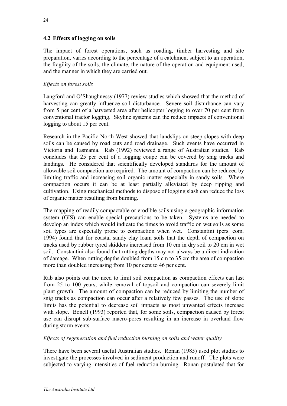The impact of forest operations, such as roading, timber harvesting and site preparation, varies according to the percentage of a catchment subject to an operation, the fragility of the soils, the climate, the nature of the operation and equipment used, and the manner in which they are carried out.

# *Effects on forest soils*

Langford and O'Shaughnessy (1977) review studies which showed that the method of harvesting can greatly influence soil disturbance. Severe soil disturbance can vary from 5 per cent of a harvested area after helicopter logging to over 70 per cent from conventional tractor logging. Skyline systems can the reduce impacts of conventional logging to about 15 per cent.

Research in the Pacific North West showed that landslips on steep slopes with deep soils can be caused by road cuts and road drainage. Such events have occurred in Victoria and Tasmania. Rab (1992) reviewed a range of Australian studies. Rab concludes that 25 per cent of a logging coupe can be covered by snig tracks and landings. He considered that scientifically developed standards for the amount of allowable soil compaction are required. The amount of compaction can be reduced by limiting traffic and increasing soil organic matter especially in sandy soils. Where compaction occurs it can be at least partially alleviated by deep ripping and cultivation. Using mechanical methods to dispose of logging slash can reduce the loss of organic matter resulting from burning.

The mapping of readily compactable or erodible soils using a geographic information system (GIS) can enable special precautions to be taken. Systems are needed to develop an index which would indicate the times to avoid traffic on wet soils as some soil types are especially prone to compaction when wet. Constantini (pers. com. 1994) found that for coastal sandy clay loam soils that the depth of compaction on tracks used by rubber tyred skidders increased from 10 cm in dry soil to 20 cm in wet soil. Constantini also found that rutting depths may not always be a direct indication of damage. When rutting depths doubled from 15 cm to 35 cm the area of compaction more than doubled increasing from 10 per cent to 46 per cent.

Rab also points out the need to limit soil compaction as compaction effects can last from 25 to 100 years, while removal of topsoil and compaction can severely limit plant growth. The amount of compaction can be reduced by limiting the number of snig tracks as compaction can occur after a relatively few passes. The use of slope limits has the potential to decrease soil impacts as most unwanted effects increase with slope. Bonell (1993) reported that, for some soils, compaction caused by forest use can disrupt sub-surface macro-pores resulting in an increase in overland flow during storm events.

# *Effects of regeneration and fuel reduction burning on soils and water quality*

There have been several useful Australian studies. Ronan (1985) used plot studies to investigate the processes involved in sediment production and runoff. The plots were subjected to varying intensities of fuel reduction burning. Ronan postulated that for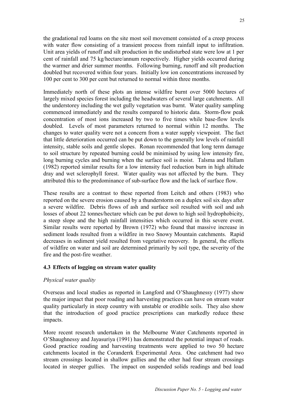the gradational red loams on the site most soil movement consisted of a creep process with water flow consisting of a transient process from rainfall input to infiltration. Unit area yields of runoff and silt production in the undisturbed state were low at 1 per cent of rainfall and 75 kg/hectare/annum respectively. Higher yields occurred during the warmer and drier summer months. Following burning, runoff and silt production doubled but recovered within four years. Initially low ion concentrations increased by 100 per cent to 300 per cent but returned to normal within three months.

Immediately north of these plots an intense wildfire burnt over 5000 hectares of largely mixed species forest including the headwaters of several large catchments. All the understorey including the wet gully vegetation was burnt. Water quality sampling commenced immediately and the results compared to historic data. Storm-flow peak concentration of most ions increased by two to five times while base-flow levels doubled. Levels of most parameters returned to normal within 12 months. The changes to water quality were not a concern from a water supply viewpoint. The fact that little deterioration occurred can be put down to the generally low levels of rainfall intensity, stable soils and gentle slopes. Ronan recommended that long term damage to soil structure by repeated burning could be minimised by using low intensity fire, long burning cycles and burning when the surface soil is moist. Talsma and Hallam (1982) reported similar results for a low intensity fuel reduction burn in high altitude dray and wet sclerophyll forest. Water quality was not affected by the burn. They attributed this to the predominance of sub-surface flow and the lack of surface flow.

These results are a contrast to these reported from Leitch and others (1983) who reported on the severe erosion caused by a thunderstorm on a duplex soil six days after a severe wildfire. Debris flows of ash and surface soil resulted with soil and ash losses of about 22 tonnes/hectare which can be put down to high soil hydrophobicity, a steep slope and the high rainfall intensities which occurred in this severe event. Similar results were reported by Brown (1972) who found that massive increase in sediment loads resulted from a wildfire in two Snowy Mountain catchments. Rapid decreases in sediment yield resulted from vegetative recovery. In general, the effects of wildfire on water and soil are determined primarily by soil type, the severity of the fire and the post-fire weather.

#### **4.3 Effects of logging on stream water quality**

#### *Physical water quality*

Overseas and local studies as reported in Langford and O'Shaughnessy (1977) show the major impact that poor roading and harvesting practices can have on stream water quality particularly in steep country with unstable or erodible soils. They also show that the introduction of good practice prescriptions can markedly reduce these impacts.

More recent research undertaken in the Melbourne Water Catchments reported in O'Shaughnessy and Jayasuriya (1991) has demonstrated the potential impact of roads. Good practice roading and harvesting treatments were applied to two 50 hectare catchments located in the Coranderrk Experimental Area. One catchment had two stream crossings located in shallow gullies and the other had four stream crossings located in steeper gullies. The impact on suspended solids readings and bed load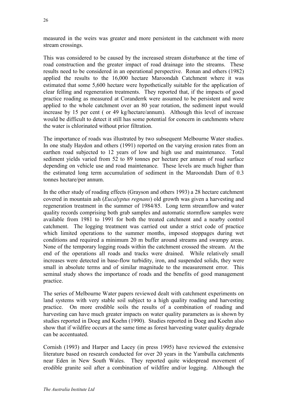measured in the weirs was greater and more persistent in the catchment with more stream crossings.

This was considered to be caused by the increased stream disturbance at the time of road construction and the greater impact of road drainage into the streams. These results need to be considered in an operational perspective. Ronan and others (1982) applied the results to the 16,000 hectare Maroondah Catchment where it was estimated that some 5,600 hectare were hypothetically suitable for the application of clear felling and regeneration treatments. They reported that, if the impacts of good practice roading as measured at Coranderrk were assumed to be persistent and were applied to the whole catchment over an 80 year rotation, the sediment input would increase by 15 per cent ( or 49 kg/hectare/annum). Although this level of increase would be difficult to detect it still has some potential for concern in catchments where the water is chlorinated without prior filtration.

The importance of roads was illustrated by two subsequent Melbourne Water studies. In one study Haydon and others (1991) reported on the varying erosion rates from an earthen road subjected to 12 years of low and high use and maintenance. Total sediment yields varied from 52 to 89 tonnes per hectare per annum of road surface depending on vehicle use and road maintenance. These levels are much higher than the estimated long term accumulation of sediment in the Maroondah Dam of 0.3 tonnes hectare/per annum.

In the other study of roading effects (Grayson and others 1993) a 28 hectare catchment covered in mountain ash (*Eucalyptus regnans*) old growth was given a harvesting and regeneration treatment in the summer of 1984/85. Long term streamflow and water quality records comprising both grab samples and automatic stormflow samples were available from 1981 to 1991 for both the treated catchment and a nearby control catchment. The logging treatment was carried out under a strict code of practice which limited operations to the summer months, imposed stoppages during wet conditions and required a minimum 20 m buffer around streams and swampy areas. None of the temporary logging roads within the catchment crossed the stream. At the end of the operations all roads and tracks were drained. While relatively small increases were detected in base-flow turbidity, iron, and suspended solids, they were small in absolute terms and of similar magnitude to the measurement error. This seminal study shows the importance of roads and the benefits of good management practice.

The series of Melbourne Water papers reviewed dealt with catchment experiments on land systems with very stable soil subject to a high quality roading and harvesting practice. On more erodible soils the results of a combination of roading and harvesting can have much greater impacts on water quality parameters as is shown by studies reported in Doeg and Koehn (1990). Studies reported in Doeg and Koehn also show that if wildfire occurs at the same time as forest harvesting water quality degrade can be accentuated.

Cornish (1993) and Harper and Lacey (in press 1995) have reviewed the extensive literature based on research conducted for over 20 years in the Yambulla catchments near Eden in New South Wales. They reported quite widespread movement of erodible granite soil after a combination of wildfire and/or logging. Although the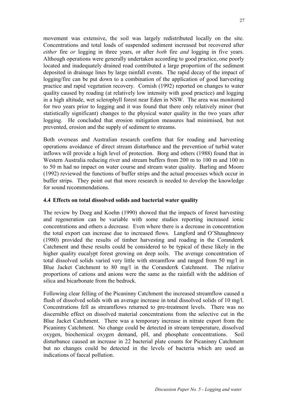movement was extensive, the soil was largely redistributed locally on the site. Concentrations and total loads of suspended sediment increased but recovered after *either* fire *or* logging in three years, or after *both* fire *and* logging in five years. Although operations were generally undertaken according to good practice, one poorly located and inadequately drained road contributed a large proportion of the sediment deposited in drainage lines by large rainfall events. The rapid decay of the impact of logging/fire can be put down to a combination of the application of good harvesting practice and rapid vegetation recovery. Cornish (1992) reported on changes to water quality caused by roading (at relatively low intensity with good practice) and logging in a high altitude, wet sclerophyll forest near Eden in NSW. The area was monitored for two years prior to logging and it was found that there only relatively minor (but statistically significant) changes to the physical water quality in the two years after logging. He concluded that erosion mitigation measures had minimised, but not prevented, erosion and the supply of sediment to streams.

Both overseas and Australian research confirm that for roading and harvesting operations avoidance of direct stream disturbance and the prevention of turbid water inflows will provide a high level of protection. Borg and others (1988) found that in Western Australia reducing river and stream buffers from 200 m to 100 m and 100 m to 50 m had no impact on water course and stream water quality. Barling and Moore (1992) reviewed the functions of buffer strips and the actual processes which occur in buffer strips. They point out that more research is needed to develop the knowledge for sound recommendations.

#### **4.4 Effects on total dissolved solids and bacterial water quality**

The review by Doeg and Koehn (1990) showed that the impacts of forest harvesting and regeneration can be variable with some studies reporting increased ionic concentrations and others a decrease. Even where there is a decrease in concentration the total export can increase due to increased flows. Langford and O'Shaughnessy (1980) provided the results of timber harvesting and roading in the Coranderrk Catchment and these results could be considered to be typical of these likely in the higher quality eucalypt forest growing on deep soils. The average concentration of total dissolved solids varied very little with streamflow and ranged from 50 mg/l in Blue Jacket Catchment to 80 mg/l in the Coranderrk Catchment. The relative proportions of cations and anions were the same as the rainfall with the addition of silica and bicarbonate from the bedrock.

Following clear felling of the Picaninny Catchment the increased streamflow caused a flush of dissolved solids with an average increase in total dissolved solids of 10 mg/l. Concentrations fell as streamflows returned to pre-treatment levels. There was no discernible effect on dissolved material concentrations from the selective cut in the Blue Jacket Catchment. There was a temporary increase in nitrate export from the Picaninny Catchment. No change could be detected in stream temperature, dissolved oxygen, biochemical oxygen demand, pH, and phosphate concentrations. Soil disturbance caused an increase in 22 bacterial plate counts for Picaninny Catchment but no changes could be detected in the levels of bacteria which are used as indications of faecal pollution.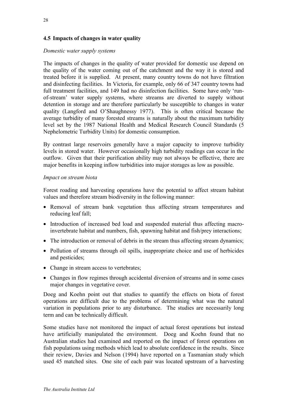# **4.5 Impacts of changes in water quality**

#### *Domestic water supply systems*

The impacts of changes in the quality of water provided for domestic use depend on the quality of the water coming out of the catchment and the way it is stored and treated before it is supplied. At present, many country towns do not have filtration and disinfecting facilities. In Victoria, for example, only 66 of 347 country towns had full treatment facilities, and 149 had no disinfection facilities. Some have only 'runof-stream' water supply systems, where streams are diverted to supply without detention in storage and are therefore particularly be susceptible to changes in water quality (Langford and O'Shaughnessy 1977). This is often critical because the average turbidity of many forested streams is naturally about the maximum turbidity level set by the 1987 National Health and Medical Research Council Standards (5 Nephelometric Turbidity Units) for domestic consumption.

By contrast large reservoirs generally have a major capacity to improve turbidity levels in stored water. However occasionally high turbidity readings can occur in the outflow. Given that their purification ability may not always be effective, there are major benefits in keeping inflow turbidities into major storages as low as possible.

#### *Impact on stream biota*

Forest roading and harvesting operations have the potential to affect stream habitat values and therefore stream biodiversity in the following manner:

- Removal of stream bank vegetation thus affecting stream temperatures and reducing leaf fall;
- Introduction of increased bed load and suspended material thus affecting macroinvertebrate habitat and numbers, fish, spawning habitat and fish/prey interactions;
- The introduction or removal of debris in the stream thus affecting stream dynamics;
- Pollution of streams through oil spills, inappropriate choice and use of herbicides and pesticides;
- Change in stream access to vertebrates;
- Changes in flow regimes through accidental diversion of streams and in some cases major changes in vegetative cover.

Doeg and Koehn point out that studies to quantify the effects on biota of forest operations are difficult due to the problems of determining what was the natural variation in populations prior to any disturbance. The studies are necessarily long term and can be technically difficult.

Some studies have not monitored the impact of actual forest operations but instead have artificially manipulated the environment. Doeg and Koehn found that no Australian studies had examined and reported on the impact of forest operations on fish populations using methods which lead to absolute confidence in the results. Since their review, Davies and Nelson (1994) have reported on a Tasmanian study which used 45 matched sites. One site of each pair was located upstream of a harvesting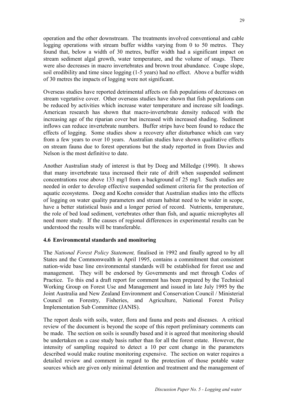operation and the other downstream. The treatments involved conventional and cable logging operations with stream buffer widths varying from 0 to 50 metres. They found that, below a width of 30 metres, buffer width had a significant impact on stream sediment algal growth, water temperature, and the volume of snags. There were also decreases in macro invertebrates and brown trout abundance. Coupe slope, soil erodibility and time since logging (1-5 years) had no effect. Above a buffer width of 30 metres the impacts of logging were not significant.

Overseas studies have reported detrimental affects on fish populations of decreases on stream vegetative cover. Other overseas studies have shown that fish populations can be reduced by activities which increase water temperature and increase silt loadings. American research has shown that macro-invertebrate density reduced with the increasing age of the riparian cover but increased with increased shading. Sediment inflows can reduce invertebrate numbers. Buffer strips have been found to reduce the effects of logging. Some studies show a recovery after disturbance which can vary from a few years to over 10 years. Australian studies have shown qualitative effects on stream fauna due to forest operations but the study reported in from Davies and Nelson is the most definitive to date.

Another Australian study of interest is that by Doeg and Milledge (1990). It shows that many invertebrate taxa increased their rate of drift when suspended sediment concentrations rose above 133 mg/l from a background of 25 mg/l. Such studies are needed in order to develop effective suspended sediment criteria for the protection of aquatic ecosystems. Doeg and Koehn consider that Australian studies into the effects of logging on water quality parameters and stream habitat need to be wider in scope, have a better statistical basis and a longer period of record. Nutrients, temperature, the role of bed load sediment, vertebrates other than fish, and aquatic microphytes all need more study. If the causes of regional differences in experimental results can be understood the results will be transferable.

# **4.6 Environmental standards and monitoring**

The *National Forest Policy Statement,* finalised in 1992 and finally agreed to by all States and the Commonwealth in April 1995, contains a commitment that consistent nation-wide base line environmental standards will be established for forest use and management. They will be endorsed by Governments and met through Codes of Practice. To this end a draft report for comment has been prepared by the Technical Working Group on Forest Use and Management and issued in late July 1995 by the Joint Australia and New Zealand Environment and Conservation Council / Ministerial Council on Forestry, Fisheries, and Agriculture, National Forest Policy Implementation Sub Committee (JANIS).

The report deals with soils, water, flora and fauna and pests and diseases. A critical review of the document is beyond the scope of this report preliminary comments can be made. The section on soils is soundly based and it is agreed that monitoring should be undertaken on a case study basis rather than for all the forest estate. However, the intensity of sampling required to detect a 10 per cent change in the parameters described would make routine monitoring expensive. The section on water requires a detailed review and comment in regard to the protection of those potable water sources which are given only minimal detention and treatment and the management of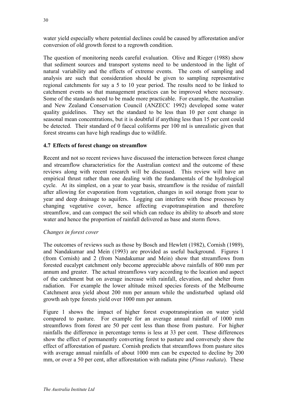water yield especially where potential declines could be caused by afforestation and/or conversion of old growth forest to a regrowth condition.

The question of monitoring needs careful evaluation. Olive and Rieger (1988) show that sediment sources and transport systems need to be understood in the light of natural variability and the effects of extreme events. The costs of sampling and analysis are such that consideration should be given to sampling representative regional catchments for say a 5 to 10 year period. The results need to be linked to catchment events so that management practices can be improved where necessary. Some of the standards need to be made more practicable. For example, the Australian and New Zealand Conservation Council (ANZECC 1992) developed some water quality guidelines. They set the standard to be less than 10 per cent change in seasonal mean concentrations, but it is doubtful if anything less than 15 per cent could be detected. Their standard of 0 faecal coliforms per 100 ml is unrealistic given that forest streams can have high readings due to wildlife.

### **4.7 Effects of forest change on streamflow**

Recent and not so recent reviews have discussed the interaction between forest change and streamflow characteristics for the Australian context and the outcome of these reviews along with recent research will be discussed. This review will have an empirical thrust rather than one dealing with the fundamentals of the hydrological cycle. At its simplest, on a year to year basis, streamflow is the residue of rainfall after allowing for evaporation from vegetation, changes in soil storage from year to year and deep drainage to aquifers. Logging can interfere with these processes by changing vegetative cover, hence affecting evapotranspiration and therefore streamflow, and can compact the soil which can reduce its ability to absorb and store water and hence the proportion of rainfall delivered as base and storm flows.

#### *Changes in forest cover*

The outcomes of reviews such as those by Bosch and Hewlett (1982), Cornish (1989), and Nandakumar and Mein (1993) are provided as useful background. Figures 1 (from Cornish) and 2 (from Nandakumar and Mein) show that streamflows from forested eucalypt catchment only become appreciable above rainfalls of 800 mm per annum and greater. The actual streamflows vary according to the location and aspect of the catchment but on average increase with rainfall, elevation, and shelter from radiation. For example the lower altitude mixed species forests of the Melbourne Catchment area yield about 200 mm per annum while the undisturbed upland old growth ash type forests yield over 1000 mm per annum.

Figure 1 shows the impact of higher forest evapotranspiration on water yield compared to pasture. For example for an average annual rainfall of 1000 mm streamflows from forest are 50 per cent less than those from pasture. For higher rainfalls the difference in percentage terms is less at 33 per cent. These differences show the effect of permanently converting forest to pasture and conversely show the effect of afforestation of pasture. Cornish predicts that streamflows from pasture sites with average annual rainfalls of about 1000 mm can be expected to decline by 200 mm, or over a 50 per cent, after afforestation with radiata pine (*Pinus radiata*). These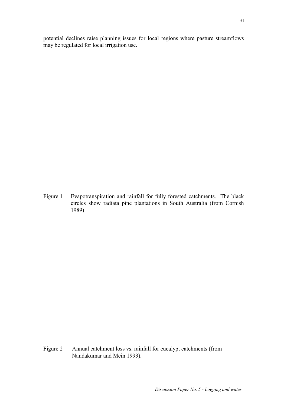potential declines raise planning issues for local regions where pasture streamflows may be regulated for local irrigation use.

Figure 1 Evapotranspiration and rainfall for fully forested catchments. The black circles show radiata pine plantations in South Australia (from Cornish 1989)

Figure 2 Annual catchment loss vs. rainfall for eucalypt catchments (from Nandakumar and Mein 1993).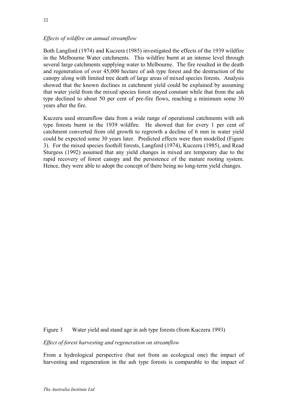### *Effects of wildfire on annual streamflow*

Both Langford (1974) and Kuczera (1985) investigated the effects of the 1939 wildfire in the Melbourne Water catchments. This wildfire burnt at an intense level through several large catchments supplying water to Melbourne. The fire resulted in the death and regeneration of over 45,000 hectare of ash type forest and the destruction of the canopy along with limited tree death of large areas of mixed species forests. Analysis showed that the known declines in catchment yield could be explained by assuming that water yield from the mixed species forest stayed constant while that from the ash type declined to about 50 per cent of pre-fire flows, reaching a minimum some 30 years after the fire.

Kuczera used streamflow data from a wide range of operational catchments with ash type forests burnt in the 1939 wildfire. He showed that for every 1 per cent of catchment converted from old growth to regrowth a decline of 6 mm in water yield could be expected some 30 years later. Predicted effects were then modelled (Figure 3). For the mixed species foothill forests, Langford (1974), Kuczera (1985), and Read Sturgess (1992) assumed that any yield changes in mixed are temporary due to the rapid recovery of forest canopy and the persistence of the mature rooting system. Hence, they were able to adopt the concept of there being no long-term yield changes.

Figure 3 Water yield and stand age in ash type forests (from Kuczera 1993)

*Effect of forest harvesting and regeneration on streamflow*

From a hydrological perspective (but not from an ecological one) the impact of harvesting and regeneration in the ash type forests is comparable to the impact of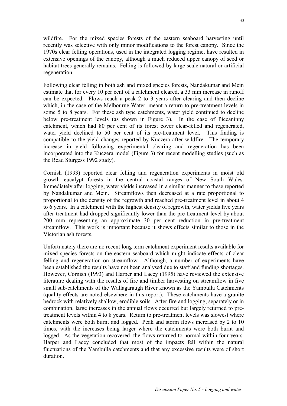wildfire. For the mixed species forests of the eastern seaboard harvesting until recently was selective with only minor modifications to the forest canopy. Since the 1970s clear felling operations, used in the integrated logging regime, have resulted in extensive openings of the canopy, although a much reduced upper canopy of seed or habitat trees generally remains. Felling is followed by large scale natural or artificial regeneration.

Following clear felling in both ash and mixed species forests, Nandakumar and Mein estimate that for every 10 per cent of a catchment cleared, a 33 mm increase in runoff can be expected. Flows reach a peak 2 to 3 years after clearing and then decline which, in the case of the Melbourne Water, meant a return to pre-treatment levels in some 5 to 8 years. For these ash type catchments, water yield continued to decline below pre-treatment levels (as shown in Figure 3). In the case of Piccaninny catchment, which had 80 per cent of its forest cover clear-felled and regenerated, water yield declined to 50 per cent of its pre-treatment level. This finding is compatible to the yield changes reported by Kuczera after wildfire. The temporary increase in yield following experimental clearing and regeneration has been incorporated into the Kuczera model (Figure 3) for recent modelling studies (such as the Read Sturgess 1992 study).

Cornish (1993) reported clear felling and regeneration experiments in moist old growth eucalypt forests in the central coastal ranges of New South Wales. Immediately after logging, water yields increased in a similar manner to these reported by Nandakumar and Mein. Streamflows then decreased at a rate proportional to proportional to the density of the regrowth and reached pre-treatment level in about 4 to 6 years. In a catchment with the highest density of regrowth, water yields five years after treatment had dropped significantly lower than the pre-treatment level by about 200 mm representing an approximate 30 per cent reduction in pre-treatment streamflow. This work is important because it shows effects similar to those in the Victorian ash forests.

Unfortunately there are no recent long term catchment experiment results available for mixed species forests on the eastern seaboard which might indicate effects of clear felling and regeneration on streamflow. Although, a number of experiments have been established the results have not been analysed due to staff and funding shortages. However, Cornish (1993) and Harper and Lacey (1995) have reviewed the extensive literature dealing with the results of fire and timber harvesting on streamflow in five small sub-catchments of the Wallagaraugh River known as the Yambulla Catchments (quality effects are noted elsewhere in this report). These catchments have a granite bedrock with relatively shallow, erodible soils. After fire and logging, separately or in combination, large increases in the annual flows occurred but largely returned to pretreatment levels within 4 to 8 years. Return to pre-treatment levels was slowest where catchments were both burnt and logged. Peak and storm flows increased by 2 to 10 times, with the increases being larger where the catchments were both burnt and logged. As the vegetation recovered, the flows returned to normal within four years. Harper and Lacey concluded that most of the impacts fell within the natural fluctuations of the Yambulla catchments and that any excessive results were of short duration.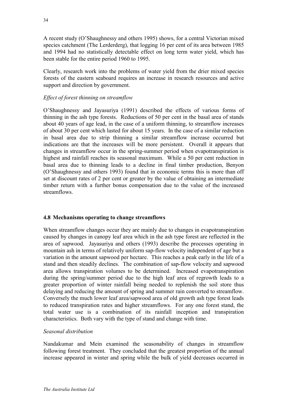A recent study (O'Shaughnessy and others 1995) shows, for a central Victorian mixed species catchment (The Lerderderg), that logging 16 per cent of its area between 1985 and 1994 had no statistically detectable effect on long term water yield, which has been stable for the entire period 1960 to 1995.

Clearly, research work into the problems of water yield from the drier mixed species forests of the eastern seaboard requires an increase in research resources and active support and direction by government.

### *Effect of forest thinning on streamflow*

O'Shaughnessy and Jayasuriya (1991) described the effects of various forms of thinning in the ash type forests. Reductions of 50 per cent in the basal area of stands about 40 years of age lead, in the case of a uniform thinning, to streamflow increases of about 30 per cent which lasted for about 15 years. In the case of a similar reduction in basal area due to strip thinning a similar streamflow increase occurred but indications are that the increases will be more persistent. Overall it appears that changes in streamflow occur in the spring-summer period when evapotranspiration is highest and rainfall reaches its seasonal maximum. While a 50 per cent reduction in basal area due to thinning leads to a decline in final timber production, Benyon (O'Shaughnessy and others 1993) found that in economic terms this is more than off set at discount rates of 2 per cent or greater by the value of obtaining an intermediate timber return with a further bonus compensation due to the value of the increased streamflows.

#### **4.8 Mechanisms operating to change streamflows**

When streamflow changes occur they are mainly due to changes in evapotranspiration caused by changes in canopy leaf area which in the ash type forest are reflected in the area of sapwood. Jayasuriya and others (1993) describe the processes operating in mountain ash in terms of relatively uniform sap-flow velocity independent of age but a variation in the amount sapwood per hectare. This reaches a peak early in the life of a stand and then steadily declines. The combination of sap-flow velocity and sapwood area allows transpiration volumes to be determined. Increased evapotranspiration during the spring/summer period due to the high leaf area of regrowth leads to a greater proportion of winter rainfall being needed to replenish the soil store thus delaying and reducing the amount of spring and summer rain converted to streamflow. Conversely the much lower leaf area/sapwood area of old growth ash type forest leads to reduced transpiration rates and higher streamflows. For any one forest stand, the total water use is a combination of its rainfall inception and transpiration characteristics. Both vary with the type of stand and change with time.

#### *Seasonal distribution*

Nandakumar and Mein examined the seasonability of changes in streamflow following forest treatment. They concluded that the greatest proportion of the annual increase appeared in winter and spring while the bulk of yield decreases occurred in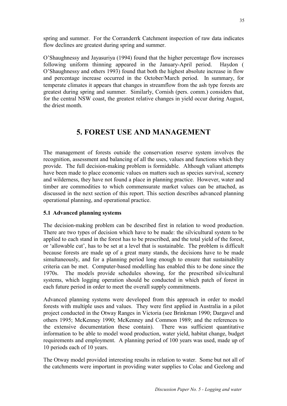spring and summer. For the Corranderrk Catchment inspection of raw data indicates flow declines are greatest during spring and summer.

O'Shaughnessy and Jayasuriya (1994) found that the higher percentage flow increases following uniform thinning appeared in the January-April period. Haydon ( O'Shaughnessy and others 1993) found that both the highest absolute increase in flow and percentage increase occurred in the October/March period. In summary, for temperate climates it appears that changes in streamflow from the ash type forests are greatest during spring and summer. Similarly, Cornish (pers. comm.) considers that, for the central NSW coast, the greatest relative changes in yield occur during August, the driest month.

# **5. FOREST USE AND MANAGEMENT**

The management of forests outside the conservation reserve system involves the recognition, assessment and balancing of all the uses, values and functions which they provide. The full decision-making problem is formidable. Although valiant attempts have been made to place economic values on matters such as species survival, scenery and wilderness, they have not found a place in planning practice. However, water and timber are commodities to which commensurate market values can be attached, as discussed in the next section of this report. This section describes advanced planning operational planning, and operational practice.

# **5.1 Advanced planning systems**

The decision-making problem can be described first in relation to wood production. There are two types of decision which have to be made: the silvicultural system to be applied to each stand in the forest has to be prescribed, and the total yield of the forest, or 'allowable cut', has to be set at a level that is sustainable. The problem is difficult because forests are made up of a great many stands, the decisions have to be made simultaneously, and for a planning period long enough to ensure that sustainability criteria can be met. Computer-based modelling has enabled this to be done since the 1970s. The models provide schedules showing, for the prescribed silvicultural systems, which logging operation should be conducted in which patch of forest in each future period in order to meet the overall supply commitments.

Advanced planning systems were developed from this approach in order to model forests with multiple uses and values. They were first applied in Australia in a pilot project conducted in the Otway Ranges in Victoria (see Brinkman 1990; Dargavel and others 1995; McKenney 1990; McKenney and Common 1989; and the references to the extensive documentation these contain). There was sufficient quantitative information to be able to model wood production, water yield, habitat change, budget requirements and employment. A planning period of 100 years was used, made up of 10 periods each of 10 years.

The Otway model provided interesting results in relation to water. Some but not all of the catchments were important in providing water supplies to Colac and Geelong and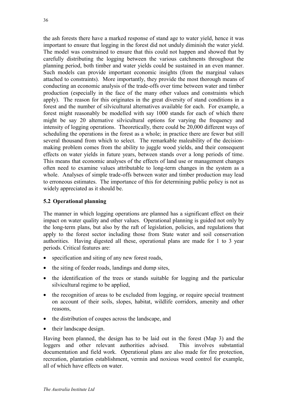the ash forests there have a marked response of stand age to water yield, hence it was important to ensure that logging in the forest did not unduly diminish the water yield. The model was constrained to ensure that this could not happen and showed that by carefully distributing the logging between the various catchments throughout the planning period, both timber and water yields could be sustained in an even manner. Such models can provide important economic insights (from the marginal values attached to constraints). More importantly, they provide the most thorough means of conducting an economic analysis of the trade-offs over time between water and timber production (especially in the face of the many other values and constraints which apply). The reason for this originates in the great diversity of stand conditions in a forest and the number of silvicultural alternatives available for each. For example, a forest might reasonably be modelled with say 1000 stands for each of which there might be say 20 alternative silvicultural options for varying the frequency and intensity of logging operations. Theoretically, there could be 20,000 different ways of scheduling the operations in the forest as a whole; in practice there are fewer but still several thousand from which to select. The remarkable maleability of the decisionmaking problem comes from the ability to juggle wood yields, and their consequent effects on water yields in future years, between stands over a long periods of time. This means that economic analyses of the effects of land use or management changes often need to examine values attributable to long-term changes in the system as a whole. Analyses of simple trade-offs between water and timber production may lead to erroneous estimates. The importance of this for determining public policy is not as widely appreciated as it should be.

#### **5.2 Operational planning**

The manner in which logging operations are planned has a significant effect on their impact on water quality and other values. Operational planning is guided not only by the long-term plans, but also by the raft of legislation, policies, and regulations that apply to the forest sector including those from State water and soil conservation authorities. Having digested all these, operational plans are made for 1 to 3 year periods. Critical features are:

- specification and siting of any new forest roads,
- the siting of feeder roads, landings and dump sites,
- the identification of the trees or stands suitable for logging and the particular silvicultural regime to be applied,
- the recognition of areas to be excluded from logging, or require special treatment on account of their soils, slopes, habitat, wildlife corridors, amenity and other reasons,
- the distribution of coupes across the landscape, and
- their landscape design.

Having been planned, the design has to be laid out in the forest (Map 3) and the loggers and other relevant authorities advised. This involves substantial documentation and field work. Operational plans are also made for fire protection, recreation, plantation establishment, vermin and noxious weed control for example, all of which have effects on water.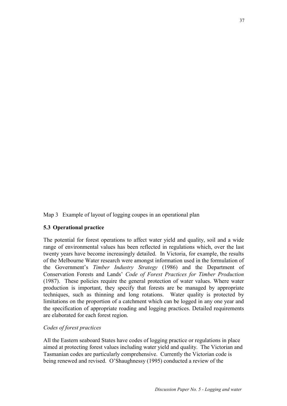Map 3 Example of layout of logging coupes in an operational plan

#### **5.3 Operational practice**

The potential for forest operations to affect water yield and quality, soil and a wide range of environmental values has been reflected in regulations which, over the last twenty years have become increasingly detailed. In Victoria, for example, the results of the Melbourne Water research were amongst information used in the formulation of the Government's *Timber Industry Strategy* (1986) and the Department of Conservation Forests and Lands' *Code of Forest Practices for Timber Production*  (1987). These policies require the general protection of water values. Where water production is important, they specify that forests are be managed by appropriate techniques, such as thinning and long rotations. Water quality is protected by limitations on the proportion of a catchment which can be logged in any one year and the specification of appropriate roading and logging practices. Detailed requirements are elaborated for each forest region.

#### *Codes of forest practices*

All the Eastern seaboard States have codes of logging practice or regulations in place aimed at protecting forest values including water yield and quality. The Victorian and Tasmanian codes are particularly comprehensive. Currently the Victorian code is being renewed and revised. O'Shaughnessy (1995) conducted a review of the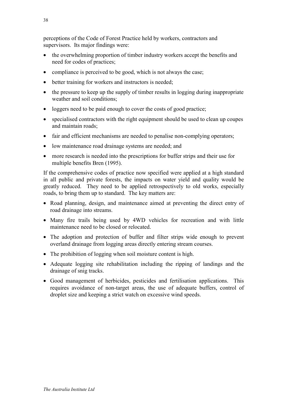perceptions of the Code of Forest Practice held by workers, contractors and supervisors. Its major findings were:

- the overwhelming proportion of timber industry workers accept the benefits and need for codes of practices;
- compliance is perceived to be good, which is not always the case;
- better training for workers and instructors is needed:
- the pressure to keep up the supply of timber results in logging during inappropriate weather and soil conditions;
- loggers need to be paid enough to cover the costs of good practice;
- specialised contractors with the right equipment should be used to clean up coupes and maintain roads;
- fair and efficient mechanisms are needed to penalise non-complying operators;
- low maintenance road drainage systems are needed; and
- more research is needed into the prescriptions for buffer strips and their use for multiple benefits Bren (1995).

If the comprehensive codes of practice now specified were applied at a high standard in all public and private forests, the impacts on water yield and quality would be greatly reduced. They need to be applied retrospectively to old works, especially roads, to bring them up to standard. The key matters are:

- Road planning, design, and maintenance aimed at preventing the direct entry of road drainage into streams.
- Many fire trails being used by 4WD vehicles for recreation and with little maintenance need to be closed or relocated.
- The adoption and protection of buffer and filter strips wide enough to prevent overland drainage from logging areas directly entering stream courses.
- The prohibition of logging when soil moisture content is high.
- Adequate logging site rehabilitation including the ripping of landings and the drainage of snig tracks.
- Good management of herbicides, pesticides and fertilisation applications. This requires avoidance of non-target areas, the use of adequate buffers, control of droplet size and keeping a strict watch on excessive wind speeds.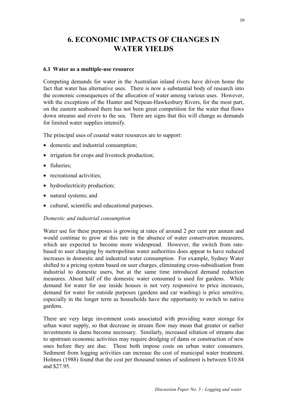# **6. ECONOMIC IMPACTS OF CHANGES IN WATER YIELDS**

#### **6.1 Water as a multiple-use resource**

Competing demands for water in the Australian inland rivers have driven home the fact that water has alternative uses. There is now a substantial body of research into the economic consequences of the allocation of water among various uses. However, with the exceptions of the Hunter and Nepean-Hawkesbury Rivers, for the most part, on the eastern seaboard there has not been great competition for the water that flows down streams and rivers to the sea. There are signs that this will change as demands for limited water supplies intensify.

The principal uses of coastal water resources are to support:

- domestic and industrial consumption;
- irrigation for crops and livestock production;
- fisheries;
- recreational activities;
- hydroelectricity production;
- natural systems; and
- cultural, scientific and educational purposes.

#### *Domestic and industrial consumption*

Water use for these purposes is growing at rates of around 2 per cent per annum and would continue to grow at this rate in the absence of water conservation measures, which are expected to become more widespread. However, the switch from ratebased to user charging by metropolitan water authorities does appear to have reduced increases in domestic and industrial water consumption. For example, Sydney Water shifted to a pricing system based on user charges, eliminating cross-subsidisation from industrial to domestic users, but at the same time introduced demand reduction measures. About half of the domestic water consumed is used for gardens. While demand for water for use inside houses is not very responsive to price increases, demand for water for outside purposes (gardens and car washing) is price sensitive, especially in the longer term as households have the opportunity to switch to native gardens.

There are very large investment costs associated with providing water storage for urban water supply, so that decrease in stream flow may mean that greater or earlier investments in dams become necessary. Similarly, increased siltation of streams due to upstream economic activities may require dredging of dams or construction of new ones before they are due. These both impose costs on urban water consumers. Sediment from logging activities can increase the cost of municipal water treatment. Holmes (1988) found that the cost per thousand tonnes of sediment is between \$10.84 and \$27.95.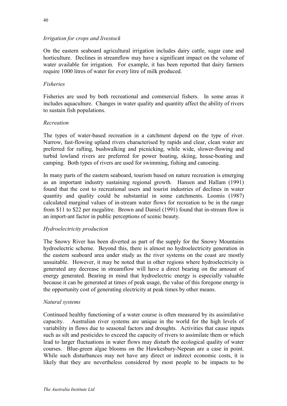#### *Irrigation for crops and livestock*

On the eastern seaboard agricultural irrigation includes dairy cattle, sugar cane and horticulture. Declines in streamflow may have a significant impact on the volume of water available for irrigation. For example, it has been reported that dairy farmers require 1000 litres of water for every litre of milk produced.

#### *Fisheries*

Fisheries are used by both recreational and commercial fishers. In some areas it includes aquaculture. Changes in water quality and quantity affect the ability of rivers to sustain fish populations.

#### *Recreation*

The types of water-based recreation in a catchment depend on the type of river. Narrow, fast-flowing upland rivers characterised by rapids and clear, clean water are preferred for rafting, bushwalking and picnicking, while wide, slower-flowing and turbid lowland rivers are preferred for power boating, skiing, house-boating and camping. Both types of rivers are used for swimming, fishing and canoeing.

In many parts of the eastern seaboard, tourism based on nature recreation is emerging as an important industry sustaining regional growth. Hansen and Hallam (1991) found that the cost to recreational users and tourist industries of declines in water quantity and quality could be substantial in some catchments. Loomis (1987) calculated marginal values of in-stream water flows for recreation to be in the range from \$11 to \$22 per megalitre. Brown and Daniel (1991) found that in-stream flow is an import-ant factor in public perceptions of scenic beauty.

#### *Hydroelectricity production*

The Snowy River has been diverted as part of the supply for the Snowy Mountains hydroelectric scheme. Beyond this, there is almost no hydroelectricity generation in the eastern seaboard area under study as the river systems on the coast are mostly unsuitable. However, it may be noted that in other regions where hydroelectricity is generated any decrease in streamflow will have a direct bearing on the amount of energy generated. Bearing in mind that hydroelectric energy is especially valuable because it can be generated at times of peak usage, the value of this foregone energy is the opportunity cost of generating electricity at peak times by other means.

#### *Natural systems*

Continued healthy functioning of a water course is often measured by its assimilative capacity. Australian river systems are unique in the world for the high levels of variability in flows due to seasonal factors and droughts. Activities that cause inputs such as silt and pesticides to exceed the capacity of rivers to assimilate them or which lead to larger fluctuations in water flows may disturb the ecological quality of water courses. Blue-green algae blooms on the Hawkesbury-Nepean are a case in point. While such disturbances may not have any direct or indirect economic costs, it is likely that they are nevertheless considered by most people to be impacts to be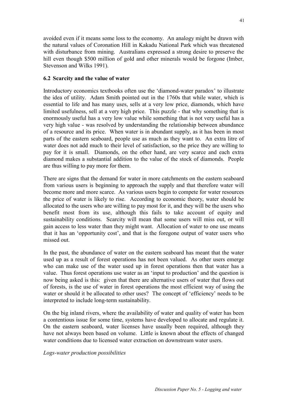avoided even if it means some loss to the economy. An analogy might be drawn with the natural values of Coronation Hill in Kakadu National Park which was threatened with disturbance from mining. Australians expressed a strong desire to preserve the hill even though \$500 million of gold and other minerals would be forgone (Imber, Stevenson and Wilks 1991).

#### **6.2 Scarcity and the value of water**

Introductory economics textbooks often use the 'diamond-water paradox' to illustrate the idea of utility. Adam Smith pointed out in the 1760s that while water, which is essential to life and has many uses, sells at a very low price, diamonds, which have limited usefulness, sell at a very high price. This puzzle - that why something that is enormously useful has a very low value while something that is not very useful has a very high value - was resolved by understanding the relationship between abundance of a resource and its price. When water is in abundant supply, as it has been in most parts of the eastern seaboard, people use as much as they want to. An extra litre of water does not add much to their level of satisfaction, so the price they are willing to pay for it is small. Diamonds, on the other hand, are very scarce and each extra diamond makes a substantial addition to the value of the stock of diamonds. People are thus willing to pay more for them.

There are signs that the demand for water in more catchments on the eastern seaboard from various users is beginning to approach the supply and that therefore water will become more and more scarce. As various users begin to compete for water resources the price of water is likely to rise. According to economic theory, water should be allocated to the users who are willing to pay most for it, and they will be the users who benefit most from its use, although this fails to take account of equity and sustainability conditions. Scarcity will mean that some users will miss out, or will gain access to less water than they might want. Allocation of water to one use means that it has an 'opportunity cost', and that is the foregone output of water users who missed out.

In the past, the abundance of water on the eastern seaboard has meant that the water used up as a result of forest operations has not been valued. As other users emerge who can make use of the water used up in forest operations then that water has a value. Thus forest operations use water as an 'input to production' and the question is now being asked is this: given that there are alternative users of water that flows out of forests, is the use of water in forest operations the most efficient way of using the water or should it be allocated to other uses? The concept of 'efficiency' needs to be interpreted to include long-term sustainability.

On the big inland rivers, where the availability of water and quality of water has been a contentious issue for some time, systems have developed to allocate and regulate it. On the eastern seaboard, water licenses have usually been required, although they have not always been based on volume. Little is known about the effects of changed water conditions due to licensed water extraction on downstream water users.

*Logs-water production possibilities*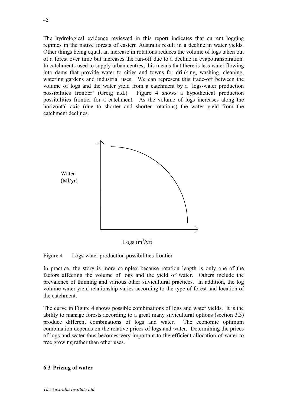The hydrological evidence reviewed in this report indicates that current logging regimes in the native forests of eastern Australia result in a decline in water yields. Other things being equal, an increase in rotations reduces the volume of logs taken out of a forest over time but increases the run-off due to a decline in evapotranspiration. In catchments used to supply urban centres, this means that there is less water flowing into dams that provide water to cities and towns for drinking, washing, cleaning, watering gardens and industrial uses. We can represent this trade-off between the volume of logs and the water yield from a catchment by a 'logs-water production possibilities frontier' (Greig n.d.). Figure 4 shows a hypothetical production possibilities frontier for a catchment. As the volume of logs increases along the horizontal axis (due to shorter and shorter rotations) the water yield from the catchment declines.



Figure 4 Logs-water production possibilities frontier

In practice, the story is more complex because rotation length is only one of the factors affecting the volume of logs and the yield of water. Others include the prevalence of thinning and various other silvicultural practices. In addition, the log volume-water yield relationship varies according to the type of forest and location of the catchment.

The curve in Figure 4 shows possible combinations of logs and water yields. It is the ability to manage forests according to a great many silvicultural options (section 3.3) produce different combinations of logs and water. The economic optimum combination depends on the relative prices of logs and water. Determining the prices of logs and water thus becomes very important to the efficient allocation of water to tree growing rather than other uses.

#### **6.3 Pricing of water**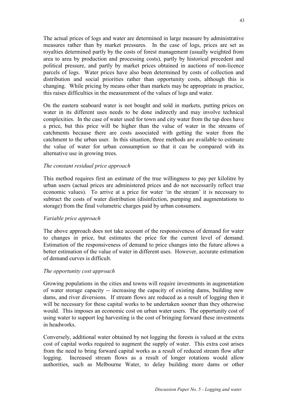The actual prices of logs and water are determined in large measure by administrative measures rather than by market pressures. In the case of logs, prices are set as royalties determined partly by the costs of forest management (usually weighted from area to area by production and processing costs), partly by historical precedent and political pressure, and partly by market prices obtained in auctions of non-licence parcels of logs. Water prices have also been determined by costs of collection and distribution and social priorities rather than opportunity costs, although this is changing. While pricing by means other than markets may be appropriate in practice, this raises difficulties in the measurement of the values of logs and water.

On the eastern seaboard water is not bought and sold in markets, putting prices on water in its different uses needs to be done indirectly and may involve technical complexities. In the case of water used for town and city water from the tap does have a price, but this price will be higher than the value of water in the streams of catchments because there are costs associated with getting the water from the catchment to the urban user. In this situation, three methods are available to estimate the value of water for urban consumption so that it can be compared with its alternative use in growing trees.

#### *The constant residual price approach*

This method requires first an estimate of the true willingness to pay per kilolitre by urban users (actual prices are administered prices and do not necessarily reflect true economic values). To arrive at a price for water 'in the stream' it is necessary to subtract the costs of water distribution (disinfection, pumping and augmentations to storage) from the final volumetric charges paid by urban consumers.

#### *Variable price approach*

The above approach does not take account of the responsiveness of demand for water to changes in price, but estimates the price for the current level of demand. Estimation of the responsiveness of demand to price changes into the future allows a better estimation of the value of water in different uses. However, accurate estimation of demand curves is difficult.

#### *The opportunity cost approach*

Growing populations in the cities and towns will require investments in augmentation of water storage capacity -- increasing the capacity of existing dams, building new dams, and river diversions. If stream flows are reduced as a result of logging then it will be necessary for these capital works to be undertaken sooner than they otherwise would. This imposes an economic cost on urban water users. The opportunity cost of using water to support log harvesting is the cost of bringing forward these investments in headworks.

Conversely, additional water obtained by not logging the forests is valued at the extra cost of capital works required to augment the supply of water. This extra cost arises from the need to bring forward capital works as a result of reduced stream flow after logging. Increased stream flows as a result of longer rotations would allow authorities, such as Melbourne Water, to delay building more dams or other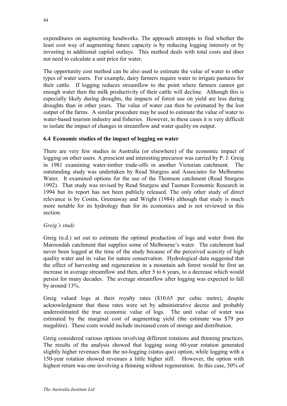expenditures on augmenting headworks. The approach attempts to find whether the least cost way of augmenting future capacity is by reducing logging intensity or by investing in additional capital outlays. This method deals with total costs and does not need to calculate a unit price for water.

The opportunity cost method can be also used to estimate the value of water to other types of water users. For example, dairy farmers require water to irrigate pastures for their cattle. If logging reduces streamflow to the point where farmers cannot get enough water then the milk productivity of their cattle will decline. Although this is especially likely during droughts, the impacts of forest use on yield are less during droughts than in other years. The value of water can then be estimated by the lost output of the farms. A similar procedure may be used to estimate the value of water to water-based tourism industry and fisheries. However, in these cases it is very difficult to isolate the impact of changes in streamflow and water quality on output.

### **6.4 Economic studies of the impact of logging on water**

There are very few studies in Australia (or elsewhere) of the economic impact of logging on other users. A prescient and interesting precursor was carried by P. J. Greig in 1981 examining water-timber trade-offs in another Victorian catchment. The outstanding study was undertaken by Read Sturgess and Associates for Melbourne Water. It examined options for the use of the Thomson catchment (Read Sturgess 1992). That study was revised by Read Sturgess and Tasman Economic Research in 1994 but its report has not been publicly released. The only other study of direct relevance is by Costin, Greenaway and Wright (1984) although that study is much more notable for its hydrology than for its economics and is not reviewed in this section.

#### *Greig's study*

Greig (n.d.) set out to estimate the optimal production of logs and water from the Maroondah catchment that supplies some of Melbourne's water. The catchment had never been logged at the time of the study because of the perceived scarcity of high quality water and its value for nature conservation. Hydrological data suggested that the effect of harvesting and regeneration in a mountain ash forest would be first an increase in average streamflow and then, after 5 to 6 years, to a decrease which would persist for many decades. The average streamflow after logging was expected to fall by around 13%.

Greig valued logs at their royalty rates (\$10.65 per cubic metre), despite acknowledgment that these rates were set by administrative decree and probably underestimated the true economic value of logs. The unit value of water was estimated by the marginal cost of augmenting yield (the estimate was \$79 per megalitre). These costs would include increased costs of storage and distribution.

Greig considered various options involving different rotations and thinning practices. The results of the analysis showed that logging using 60-year rotation generated slightly higher revenues than the no-logging (status quo) option, while logging with a 150-year rotation showed revenues a little higher still. However, the option with highest return was one involving a thinning without regeneration. In this case, 50% of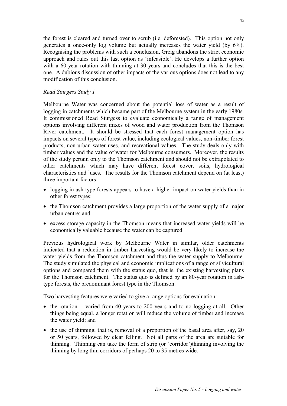the forest is cleared and turned over to scrub (i.e. deforested). This option not only generates a once-only log volume but actually increases the water yield (by 6%). Recognising the problems with such a conclusion, Greig abandons the strict economic approach and rules out this last option as 'infeasible'. He develops a further option with a 60-year rotation with thinning at 30 years and concludes that this is the best one. A dubious discussion of other impacts of the various options does not lead to any modification of this conclusion.

#### *Read Sturgess Study 1*

Melbourne Water was concerned about the potential loss of water as a result of logging in catchments which became part of the Melbourne system in the early 1980s. It commissioned Read Sturgess to evaluate economically a range of management options involving different mixes of wood and water production from the Thomson River catchment. It should be stressed that each forest management option has impacts on several types of forest value, including ecological values, non-timber forest products, non-urban water uses, and recreational values. The study deals only with timber values and the value of water for Melbourne consumers. Moreover, the results of the study pertain only to the Thomson catchment and should not be extrapolated to other catchments which may have different forest cover, soils, hydrological characteristics and `uses. The results for the Thomson catchment depend on (at least) three important factors:

- logging in ash-type forests appears to have a higher impact on water yields than in other forest types;
- the Thomson catchment provides a large proportion of the water supply of a major urban centre; and
- excess storage capacity in the Thomson means that increased water yields will be economically valuable because the water can be captured.

Previous hydrological work by Melbourne Water in similar, older catchments indicated that a reduction in timber harvesting would be very likely to increase the water yields from the Thomson catchment and thus the water supply to Melbourne. The study simulated the physical and economic implications of a range of silvicultural options and compared them with the status quo, that is, the existing harvesting plans for the Thomson catchment. The status quo is defined by an 80-year rotation in ashtype forests, the predominant forest type in the Thomson.

Two harvesting features were varied to give a range options for evaluation:

- the rotation -- varied from 40 years to 200 years and to no logging at all. Other things being equal, a longer rotation will reduce the volume of timber and increase the water yield; and
- the use of thinning, that is, removal of a proportion of the basal area after, say, 20 or 50 years, followed by clear felling. Not all parts of the area are suitable for thinning. Thinning can take the form of strip (or 'corridor')thinning involving the thinning by long thin corridors of perhaps 20 to 35 metres wide.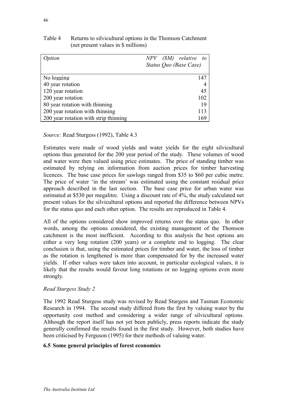| <b>Dption</b>                         | $NPV$ (SM) relative to |
|---------------------------------------|------------------------|
|                                       | Status Quo (Base Case) |
|                                       |                        |
| No logging                            | 147                    |
| 40 year rotation                      |                        |
| 120 year rotation                     | 45                     |
| 200 year rotation                     | 102                    |
| 80 year rotation with thinning        | 19                     |
| 200 year rotation with thinning       | 113                    |
| 200 year rotation with strip thinning | 169                    |

# Table 4 Returns to silvicultural options in the Thomson Catchment (net present values in \$ millions)

*Source:* Read Sturgess (1992), Table 4.3

Estimates were made of wood yields and water yields for the eight silvicultural options thus generated for the 200 year period of the study. These volumes of wood and water were then valued using price estimates. The price of standing timber was estimated by relying on information from auction prices for timber harvesting licences. The base case prices for sawlogs ranged from \$35 to \$60 per cubic metre. The price of water 'in the stream' was estimated using the constant residual price approach described in the last section. The base case price for urban water was estimated at \$530 per megalitre. Using a discount rate of 4%, the study calculated net present values for the silvicultural options and reported the difference between NPVs for the status quo and each other option. The results are reproduced in Table 4.

All of the options considered show improved returns over the status quo. In other words, among the options considered, the existing management of the Thomson catchment is the most inefficient. According to this analysis the best options are either a very long rotation (200 years) or a complete end to logging. The clear conclusion is that, using the estimated prices for timber and water, the loss of timber as the rotation is lengthened is more than compensated for by the increased water yields. If other values were taken into account, in particular ecological values, it is likely that the results would favour long rotations or no logging options even more strongly.

# *Read Sturgess Study 2*

The 1992 Read Sturgess study was revised by Read Sturgess and Tasman Economic Research in 1994. The second study differed from the first by valuing water by the opportunity cost method and considering a wider range of silvicultural options. Although the report itself has not yet been publicly, press reports indicate the study generally confirmed the results found in the first study. However, both studies have been criticised by Ferguson (1995) for their methods of valuing water.

# **6.5 Some general principles of forest economics**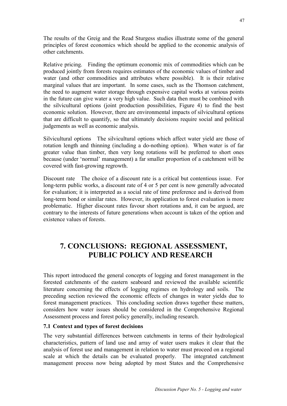The results of the Greig and the Read Sturgess studies illustrate some of the general principles of forest economics which should be applied to the economic analysis of other catchments.

Relative pricing. Finding the optimum economic mix of commodities which can be produced jointly from forests requires estimates of the economic values of timber and water (and other commodities and attributes where possible). It is their relative marginal values that are important. In some cases, such as the Thomson catchment, the need to augment water storage through expensive capital works at various points in the future can give water a very high value. Such data then must be combined with the silvicultural options (joint production possibilities, Figure 4) to find the best economic solution. However, there are environmental impacts of silvicultural options that are difficult to quantify, so that ultimately decisions require social and political judgements as well as economic analysis.

Silvicultural options The silvicultural options which affect water yield are those of rotation length and thinning (including a do-nothing option). When water is of far greater value than timber, then very long rotations will be preferred to short ones because (under 'normal' management) a far smaller proportion of a catchment will be covered with fast-growing regrowth.

Discount rate The choice of a discount rate is a critical but contentious issue. For long-term public works, a discount rate of 4 or 5 per cent is now generally advocated for evaluation; it is interpreted as a social rate of time preference and is derived from long-term bond or similar rates. However, its application to forest evaluation is more problematic. Higher discount rates favour short rotations and, it can be argued, are contrary to the interests of future generations when account is taken of the option and existence values of forests.

# **7. CONCLUSIONS: REGIONAL ASSESSMENT, PUBLIC POLICY AND RESEARCH**

This report introduced the general concepts of logging and forest management in the forested catchments of the eastern seaboard and reviewed the available scientific literature concerning the effects of logging regimes on hydrology and soils. The preceding section reviewed the economic effects of changes in water yields due to forest management practices. This concluding section draws together these matters, considers how water issues should be considered in the Comprehensive Regional Assessment process and forest policy generally, including research.

#### **7.1 Context and types of forest decisions**

The very substantial differences between catchments in terms of their hydrological characteristics, pattern of land use and array of water users makes it clear that the analysis of forest use and management in relation to water must proceed on a regional scale at which the details can be evaluated properly. The integrated catchment management process now being adopted by most States and the Comprehensive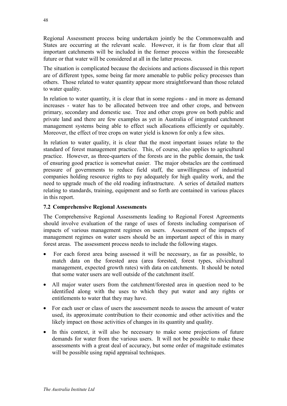Regional Assessment process being undertaken jointly be the Commonwealth and States are occurring at the relevant scale. However, it is far from clear that all important catchments will be included in the former process within the foreseeable future or that water will be considered at all in the latter process.

The situation is complicated because the decisions and actions discussed in this report are of different types, some being far more amenable to public policy processes than others. Those related to water quantity appear more straightforward than those related to water quality.

In relation to water quantity, it is clear that in some regions - and in more as demand increases - water has to be allocated between tree and other crops, and between primary, secondary and domestic use. Tree and other crops grow on both public and private land and there are few examples as yet in Australia of integrated catchment management systems being able to effect such allocations efficiently or equitably. Moreover, the effect of tree crops on water yield is known for only a few sites.

In relation to water quality, it is clear that the most important issues relate to the standard of forest management practice. This, of course, also applies to agricultural practice. However, as three-quarters of the forests are in the public domain, the task of ensuring good practice is somewhat easier. The major obstacles are the continued pressure of governments to reduce field staff, the unwillingness of industrial companies holding resource rights to pay adequately for high quality work, and the need to upgrade much of the old roading infrastructure. A series of detailed matters relating to standards, training, equipment and so forth are contained in various places in this report.

# **7.2 Comprehensive Regional Assessments**

The Comprehensive Regional Assessments leading to Regional Forest Agreements should involve evaluation of the range of uses of forests including comparison of impacts of various management regimes on users. Assessment of the impacts of management regimes on water users should be an important aspect of this in many forest areas. The assessment process needs to include the following stages.

- For each forest area being assessed it will be necessary, as far as possible, to match data on the forested area (area forested, forest types, silvicultural management, expected growth rates) with data on catchments. It should be noted that some water users are well outside of the catchment itself.
- All major water users from the catchment/forested area in question need to be identified along with the uses to which they put water and any rights or entitlements to water that they may have.
- For each user or class of users the assessment needs to assess the amount of water used, its approximate contribution to their economic and other activities and the likely impact on those activities of changes in its quantity and quality.
- In this context, it will also be necessary to make some projections of future demands for water from the various users. It will not be possible to make these assessments with a great deal of accuracy, but some order of magnitude estimates will be possible using rapid appraisal techniques.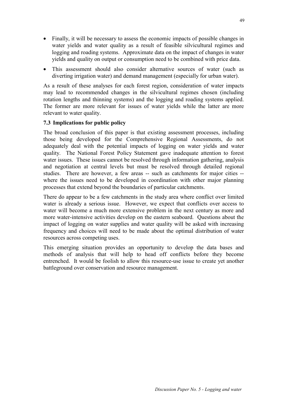- Finally, it will be necessary to assess the economic impacts of possible changes in water yields and water quality as a result of feasible silvicultural regimes and logging and roading systems. Approximate data on the impact of changes in water yields and quality on output or consumption need to be combined with price data.
- This assessment should also consider alternative sources of water (such as diverting irrigation water) and demand management (especially for urban water).

As a result of these analyses for each forest region, consideration of water impacts may lead to recommended changes in the silvicultural regimes chosen (including rotation lengths and thinning systems) and the logging and roading systems applied. The former are more relevant for issues of water yields while the latter are more relevant to water quality.

### **7.3 Implications for public policy**

The broad conclusion of this paper is that existing assessment processes, including those being developed for the Comprehensive Regional Assessments, do not adequately deal with the potential impacts of logging on water yields and water quality. The National Forest Policy Statement gave inadequate attention to forest water issues. These issues cannot be resolved through information gathering, analysis and negotiation at central levels but must be resolved through detailed regional studies. There are however, a few areas -- such as catchments for major cities - where the issues need to be developed in coordination with other major planning processes that extend beyond the boundaries of particular catchments.

There do appear to be a few catchments in the study area where conflict over limited water is already a serious issue. However, we expect that conflicts over access to water will become a much more extensive problem in the next century as more and more water-intensive activities develop on the eastern seaboard. Questions about the impact of logging on water supplies and water quality will be asked with increasing frequency and choices will need to be made about the optimal distribution of water resources across competing uses.

This emerging situation provides an opportunity to develop the data bases and methods of analysis that will help to head off conflicts before they become entrenched. It would be foolish to allow this resource-use issue to create yet another battleground over conservation and resource management.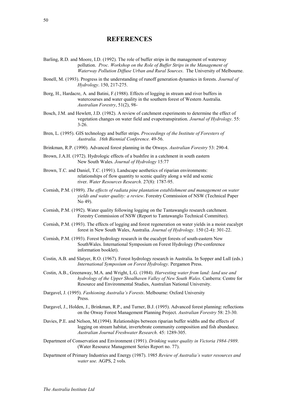#### **REFERENCES**

- Barling, R.D. and Moore, I.D. (1992). The role of buffer strips in the management of waterway pollution. *Proc. Workshop on the Role of Buffer Strips in the Management of Waterway Pollution Diffuse Urban and Rural Sources*. The University of Melbourne.
- Bonell, M. (1993). Progress in the understanding of runoff generation dynamics in forests. *Journal of Hydrology*. 150, 217-275.
- Borg, H., Hardacre, A. and Batini, F.(1988). Effects of logging in stream and river buffers in watercourses and water quality in the southern forest of Western Australia. *Australian Forestry*, 51(2), 98-
- Bosch, J.M. and Hewlett, J.D. (1982). A review of catchment experiments to determine the effect of vegetation changes on water field and evapotranspiration. *Journal of Hydrology*. 55: 3-26.
- Bren, L. (1995). GIS technology and buffer strips. *Proceedings of the Institute of Foresters of Australia. 16th Biennial Conference.* 49-56.
- Brinkman, R.P. (1990). Advanced forest planning in the Otways. *Australian Forestry* 53: 290-4.
- Brown, J.A.H. (1972). Hydrologic effects of a bushfire in a catchment in south eastern New South Wales. *Journal of Hydrology* 15:77
- Brown, T.C. and Daniel, T.C. (1991). Landscape aesthetics of riparian environments: relationships of flow quantity to scenic quality along a wild and scenic river. *Water Resources Research*. 27(8): 1787-95.
- Cornish, P.M. (1989). *The effects of radiata pine plantation establishment and management on water yields and water quality: a review*. Forestry Commission of NSW (Technical Paper No 49).
- Cornish, P.M. (1992). Water quality following logging on the Tantawanglo research catchment. Forestry Commission of NSW (Report to Tantawanglo Technical Committee).
- Cornish, P.M. (1993). The effects of logging and forest regeneration on water yields in a moist eucalypt forest in New South Wales, Australia. *Journal of Hydrology.* 150 (2-4): 301-22.
- Cornish, P.M. (1993). Forest hydrology research in the eucalypt forests of south-eastern New SouthWales. International Symposium on Forest Hydrology (Pre-conference information booklet).
- Costin, A.B. and Slatyer, R.O. (1967). Forest hydrology research in Australia. In Sopper and Lull (eds.) *International Symposium on Forest Hydrology*. Pergamon Press.
- Costin, A.B., Greenaway, M.A. and Wright, L.G. (1984). *Harvesting water from land: land use and hydrology of the Upper Shoalhaven Valley of New South Wales*. Canberra: Centre for Resource and Environmental Studies, Australian National University.
- Dargavel, J. (1995). *Fashioning Australia's Forests*. Melbourne: Oxford University Press.
- Dargavel, J., Holden, J., Brinkman, R.P., and Turner, B.J. (1995). Advanced forest planning: reflections on the Otway Forest Management Planning Project. *Australian Forestry* 58: 23-30.
- Davies, P.E. and Nelson, M.(1994). Relationships between riparian buffer widths and the effects of logging on stream habitat, invertebrate community composition and fish abundance. *Australian Journal Freshwater Research*. 45: 1289-305.
- Department of Conservation and Environment (1991). *Drinking water quality in Victoria 1984-1989*. (Water Resource Management Series Report no. 77).
- Department of Primary Industries and Energy (1987). 1985 *Review of Australia's water resources and water use.* AGPS, 2 vols.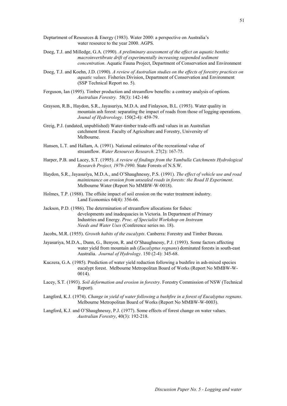- Deptartment of Resources & Energy (1983). Water 2000: a perspective on Australia's water resource to the year 2000. AGPS.
- Doeg, T.J. and Milledge, G.A. (1990). *A preliminary assessment of the effect on aquatic benthic macroinvertibrate drift of experimentally increasing suspended sediment concentration.* Aquatic Fauna Project, Department of Conservation and Environment
- Doeg, T.J. and Koehn, J.D. (1990). *A review of Australian studies on the effects of forestry practices on aquatic values.* Fisheries Division, Department of Conservation and Environment (SSP Technical Report no. 5).
- Ferguson, Ian (1995). Timber production and streamflow benefits: a contrary analysis of options. *Australian Forestry.* 58(3): 142-146
- Grayson, R.B., Haydon, S.R., Jayasuriya, M.D.A. and Finlayson, B.L. (1993). Water quality in mountain ash forest: separating the impact of roads from those of logging operations. *Jounal of Hydrorology*. 150(2-4): 459-79.
- Greig, P.J. (undated, unpublished) Water-timber trade-offs and values in an Australian catchment forest. Faculty of Agriculture and Forestry, University of Melbourne.
- Hansen, L.T. and Hallam, A. (1991). National estimates of the recreational value of streamflow. *Water Resources Research*. 27(2): 167-75.
- Harper, P.B. and Lacey, S.T. (1995). *A review of findings from the Yambulla Catchments Hydrological Research Project, 1979-1990*. State Forests of N.S.W.
- Haydon, S.R., Jayasuriya, M.D.A., and O'Shaughnessy, P.S. (1991). *The effect of vehicle use and road maintenance on erosion from unsealed roads in forests: the Road II Experiment*. Melbourne Water (Report No MMBW-W-0018).
- Holmes, T.P. (1988). The offsite impact of soil erosion on the water treatment industry. Land Economics 64(4): 356-66.
- Jackson, P.D. (1986). The determination of streamflow allocations for fishes: developments and inadequacies in Victoria. In Department of Primary Industries and Energy. *Proc. of Specialist Workshop on Instream Needs and Water Uses* (Conference series no. 18).
- Jacobs, M.R. (1955). *Growth habits of the eucalypts*. Canberra: Forestry and Timber Bureau.
- Jayasuriya, M.D.A., Dunn, G., Benyon, R. and O'Shaughnessy, P.J. (1993). Some factors affecting water yield from mountain ash (*Eucalyptus regnans*) dominated forests in south-east Australia. *Journal of Hydrology*. 150 (2-4): 345-68.
- Kuczera, G.A. (1985). Prediction of water yield reduction following a bushfire in ash-mixed species eucalypt forest. Melbourne Metropolitan Board of Works (Report No MMBW-W-0014).
- Lacey, S.T. (1993). *Soil deformation and erosion in forestry*. Forestry Commission of NSW (Technical Report).
- Langford, K.J. (1974). *Change in yield of water following a bushfire in a forest of Eucalyptus regnans*. Melbourne Metropolitan Board of Works (Report No MMBW-W-0003).
- Langford, K.J. and O'Shaughnessy, P.J. (1977). Some effects of forest change on water values. *Australian Forestry*, 40(3): 192-218.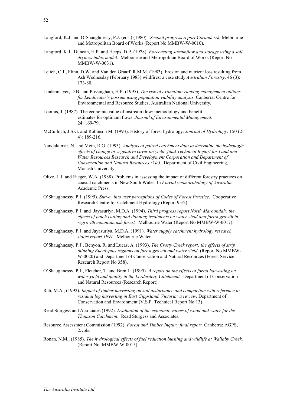- Langford, K.J. and O'Shaughnessy, P.J. (eds.) (1980). *Second progress report Coranderrk*, Melbourne and Metropolitan Board of Works (Report No MMBW-W-0010).
- Langford, K.J., Duncan, H.P. and Heeps, D.P. (1978). *Forecasting streamflow and storage using a soil dryness index model*. Melbourne and Metropolitan Board of Works (Report No MMBW-W-0031).
- Leitch, C.J., Flinn, D.W. and Van den Graaff, R.M.M. (1983). Erosion and nutrient loss resulting from Ash Wednesday (February 1983) wildfires: a case study *Australian Forestry*. 46 (3): 173-80.
- Lindenmayer, D.B. and Possingham, H.P. (1995). *The risk of extinction: ranking management options for Leadbeater's possum using population viability analysis.* Canberra: Centre for Environmental and Resource Studies, Australian National University.
- Loomis, J. (1987). The economic value of instream flow: methodology and benefit estimates for optimum flows. *Journal of Environmental Management*. 24: 169-79.
- McCulloch, J.S.G. and Robinson M. (1993). History of forest hydrology. *Journal of Hydrology*. 150 (2- 4): 189-216.
- Nandakumar, N. and Mein, R.G. (1993). *Analysis of paired catchment data to determine the hydrologic effects of change in vegetative cover on yield: final Technical Report for Land and Water Resources Research and Development Corporation and Department of Conservation and Natural Resources (Vic).* Department of Civil Engineering, Monash University.
- Olive, L.J. and Rieger, W.A. (1988). Problems in assessing the impact of different forestry practices on coastal catchments in New South Wales. In *Fluvial geomorphology of Australia.*  Academic Press.
- O'Shaughnessy, P.J. (1995). *Survey into user perceptions of Codes of Forest Practice*. Cooperative Research Centre for Catchment Hydrology (Report 95/2)..
- O'Shaughnessy, P.J. and Jayasuriya, M.D.A. (1994). *Third progress report North Maroondah: the effects of patch cutting and thinning treatments on water yield and forest growth in regrowth mountain ash forest.* Melbourne Water (Report No MMBW-W-0017).
- O'Shaughnessy, P.J. and Jayasuriya, M.D.A. (1991). *Water supply catchment hydrology research, status report 1991*. Melbourne Water.
- O'Shaughnessy, P.J., Benyon, R. and Lucas, A. (1993). *The Crotty Creek report: the effects of strip thinning Eucalyptus regnans on forest growth and water yield*. (Report No MMBW-W-0020) and Department of Conservation and Natural Resources (Forest Service Research Report No 358).
- O'Shaughnessy, P.J., Fletcher, T. and Bren L. (1995) *A report on the effects of forest harvesting on water yield and quality in the Lerderderg Catchment*. Department of Conservation and Natural Resources (Research Report).
- Rab, M.A., (1992). *Impact of timber harvesting on soil disturbance and compaction with reference to residual log harvesting in East Gippsland, Victoria: a review*. Department of Conservation and Environment (V.S.P. Technical Report No 13).
- Read Sturgess and Associates (1992). *Evaluation of the economic values of wood and water for the Thomson Catchment.* Read Sturgess and Associates.
- Resource Assessment Commission (1992). *Forest and Timber Inquiry final report.* Canberra: AGPS, 2.vols.
- Ronan, N.M., (1985). *The hydrological effects of fuel reduction burning and wildlife at Wallaby Creek*. (Report No. MMBW-W-0015).